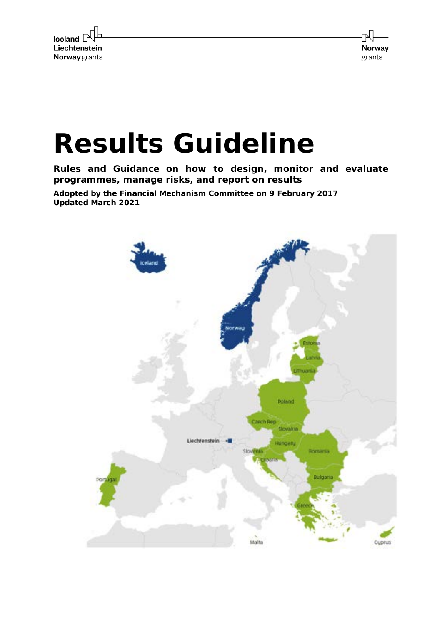

Norway grants

# **Results Guideline**

**Rules and Guidance on how to design, monitor and evaluate programmes, manage risks, and report on results**

**Adopted by the Financial Mechanism Committee on 9 February 2017 Updated March 2021**

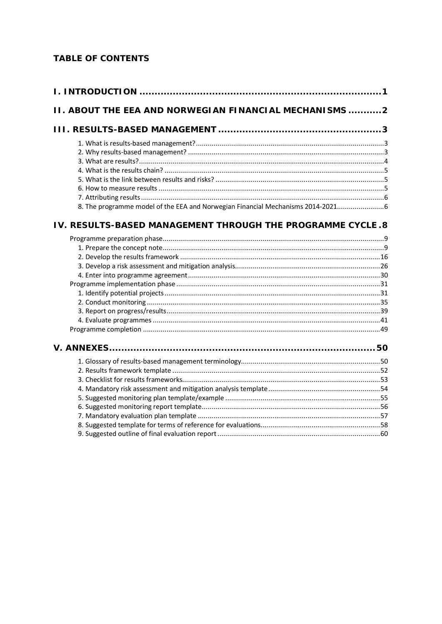### **TABLE OF CONTENTS**

| <b>II. ABOUT THE EEA AND NORWEGIAN FINANCIAL MECHANISMS2</b>                   |  |
|--------------------------------------------------------------------------------|--|
|                                                                                |  |
|                                                                                |  |
|                                                                                |  |
|                                                                                |  |
|                                                                                |  |
|                                                                                |  |
|                                                                                |  |
|                                                                                |  |
| 8. The programme model of the EEA and Norwegian Financial Mechanisms 2014-2021 |  |
| IV. RESULTS-BASED MANAGEMENT THROUGH THE PROGRAMME CYCLE.8                     |  |
|                                                                                |  |
|                                                                                |  |
|                                                                                |  |
|                                                                                |  |
|                                                                                |  |
|                                                                                |  |
|                                                                                |  |
|                                                                                |  |
|                                                                                |  |
|                                                                                |  |
|                                                                                |  |
|                                                                                |  |
|                                                                                |  |
|                                                                                |  |
|                                                                                |  |
|                                                                                |  |
|                                                                                |  |
|                                                                                |  |
|                                                                                |  |
|                                                                                |  |
|                                                                                |  |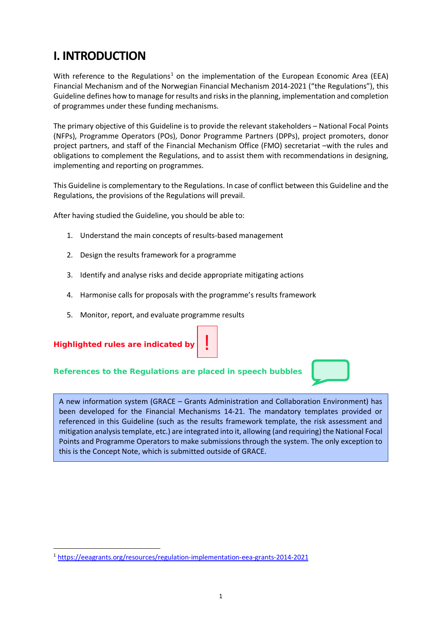# **I. INTRODUCTION**

With reference to the Regulations<sup>[1](#page-2-0)</sup> on the implementation of the European Economic Area (EEA) Financial Mechanism and of the Norwegian Financial Mechanism 2014-2021 ("the Regulations"), this Guideline defines how to manage for results and risks in the planning, implementation and completion of programmes under these funding mechanisms.

The primary objective of this Guideline is to provide the relevant stakeholders – National Focal Points (NFPs), Programme Operators (POs), Donor Programme Partners (DPPs), project promoters, donor project partners, and staff of the Financial Mechanism Office (FMO) secretariat –with the rules and obligations to complement the Regulations, and to assist them with recommendations in designing, implementing and reporting on programmes.

This Guideline is complementary to the Regulations. In case of conflict between this Guideline and the Regulations, the provisions of the Regulations will prevail.

After having studied the Guideline, you should be able to:

- 1. Understand the main concepts of results-based management
- 2. Design the results framework for a programme
- 3. Identify and analyse risks and decide appropriate mitigating actions
- 4. Harmonise calls for proposals with the programme's results framework

!

5. Monitor, report, and evaluate programme results



### **References to the Regulations are placed in speech bubbles**

A new information system (GRACE – Grants Administration and Collaboration Environment) has been developed for the Financial Mechanisms 14-21. The mandatory templates provided or referenced in this Guideline (such as the results framework template, the risk assessment and mitigation analysis template, etc.) are integrated into it, allowing (and requiring) the National Focal Points and Programme Operators to make submissions through the system. The only exception to this is the Concept Note, which is submitted outside of GRACE.

<span id="page-2-0"></span><sup>1</sup> <https://eeagrants.org/resources/regulation-implementation-eea-grants-2014-2021>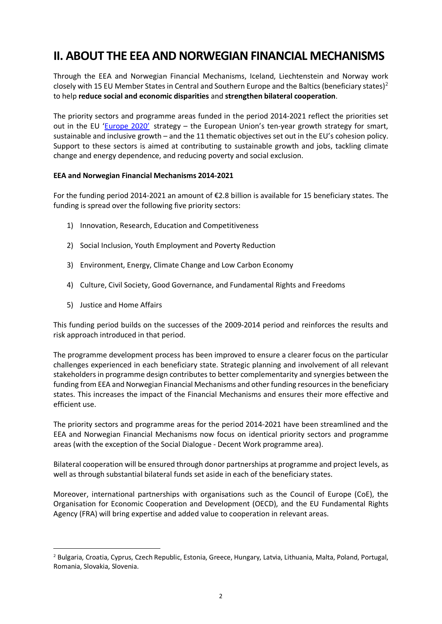# **II. ABOUT THE EEA AND NORWEGIAN FINANCIAL MECHANISMS**

Through the EEA and Norwegian Financial Mechanisms, Iceland, Liechtenstein and Norway work closely with 15 EU Member States in Central and Southern Europe and the Baltics (beneficiary states)<sup>[2](#page-3-0)</sup> to help **reduce social and economic disparities** and **strengthen bilateral cooperation**.

The priority sectors and programme areas funded in the period 2014-2021 reflect the priorities set out in the EU ['Europe 2020'](https://ec.europa.eu/eu2020/pdf/COMPLET%20EN%20BARROSO%20%20%20007%20-%20Europe%202020%20-%20EN%20version.pdf) strategy – the European Union's ten-year growth strategy for smart, sustainable and inclusive growth – and the 11 thematic objectives set out in the EU's cohesion policy. Support to these sectors is aimed at contributing to sustainable growth and jobs, tackling climate change and energy dependence, and reducing poverty and social exclusion.

### **EEA and Norwegian Financial Mechanisms 2014-2021**

For the funding period 2014-2021 an amount of €2.8 billion is available for 15 beneficiary states. The funding is spread over the following five priority sectors:

- 1) Innovation, Research, Education and Competitiveness
- 2) Social Inclusion, Youth Employment and Poverty Reduction
- 3) Environment, Energy, Climate Change and Low Carbon Economy
- 4) Culture, Civil Society, Good Governance, and Fundamental Rights and Freedoms
- 5) Justice and Home Affairs

This funding period builds on the successes of the 2009-2014 period and reinforces the results and risk approach introduced in that period.

The programme development process has been improved to ensure a clearer focus on the particular challenges experienced in each beneficiary state. Strategic planning and involvement of all relevant stakeholders in programme design contributes to better complementarity and synergies between the funding from EEA and Norwegian Financial Mechanisms and other funding resources in the beneficiary states. This increases the impact of the Financial Mechanisms and ensures their more effective and efficient use.

The priority sectors and programme areas for the period 2014-2021 have been streamlined and the EEA and Norwegian Financial Mechanisms now focus on identical priority sectors and programme areas (with the exception of the Social Dialogue - Decent Work programme area).

Bilateral cooperation will be ensured through donor partnerships at programme and project levels, as well as through substantial bilateral funds set aside in each of the beneficiary states.

Moreover, international partnerships with organisations such as the Council of Europe (CoE), the Organisation for Economic Cooperation and Development (OECD), and the EU Fundamental Rights Agency (FRA) will bring expertise and added value to cooperation in relevant areas.

<span id="page-3-0"></span><sup>2</sup> Bulgaria, Croatia, Cyprus, Czech Republic, Estonia, Greece, Hungary, Latvia, Lithuania, Malta, Poland, Portugal, Romania, Slovakia, Slovenia.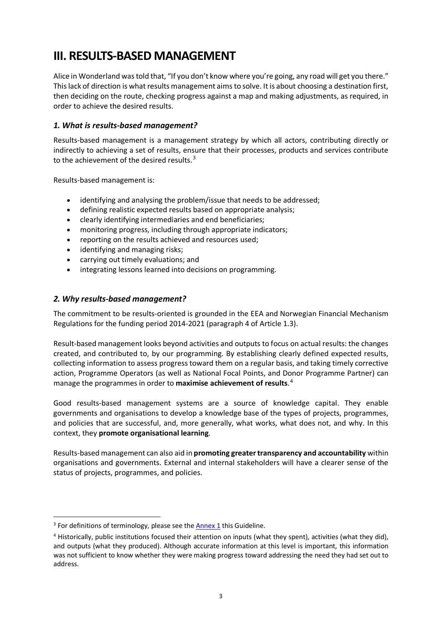# **III. RESULTS-BASED MANAGEMENT**

Alice in Wonderland was told that, "If you don't know where you're going, any road will get you there." This lack of direction is what results management aims to solve. It is about choosing a destination first, then deciding on the route, checking progress against a map and making adjustments, as required, in order to achieve the desired results.

### *1. What is results-based management?*

Results-based management is a management strategy by which all actors, contributing directly or indirectly to achieving a set of results, ensure that their processes, products and services contribute to the achievement of the desired results. $3$ 

Results-based management is:

- identifying and analysing the problem/issue that needs to be addressed;
- defining realistic expected results based on appropriate analysis;
- clearly identifying intermediaries and end beneficiaries;
- monitoring progress, including through appropriate indicators;
- reporting on the results achieved and resources used;
- identifying and managing risks;
- carrying out timely evaluations; and
- integrating lessons learned into decisions on programming.

### *2. Why results-based management?*

The commitment to be results-oriented is grounded in the EEA and Norwegian Financial Mechanism Regulations for the funding period 2014-2021 (paragraph 4 of Article 1.3).

Result-based management looks beyond activities and outputs to focus on actual results: the changes created, and contributed to, by our programming. By establishing clearly defined expected results, collecting information to assess progress toward them on a regular basis, and taking timely corrective action, Programme Operators (as well as National Focal Points, and Donor Programme Partner) can manage the programmes in order to **maximise achievement of results**. [4](#page-4-1)

Good results-based management systems are a source of knowledge capital. They enable governments and organisations to develop a knowledge base of the types of projects, programmes, and policies that are successful, and, more generally, what works, what does not, and why. In this context, they **promote organisational learning**.

Results-based management can also aid in **promoting greater transparency and accountability** within organisations and governments. External and internal stakeholders will have a clearer sense of the status of projects, programmes, and policies.

<span id="page-4-0"></span> $3$  For definitions of terminology, please see the  $\frac{\text{Annex }1}{\text{Annex }1}$  this Guideline.

<span id="page-4-1"></span><sup>4</sup> Historically, public institutions focused their attention on inputs (what they spent), activities (what they did), and outputs (what they produced). Although accurate information at this level is important, this information was not sufficient to know whether they were making progress toward addressing the need they had set out to address.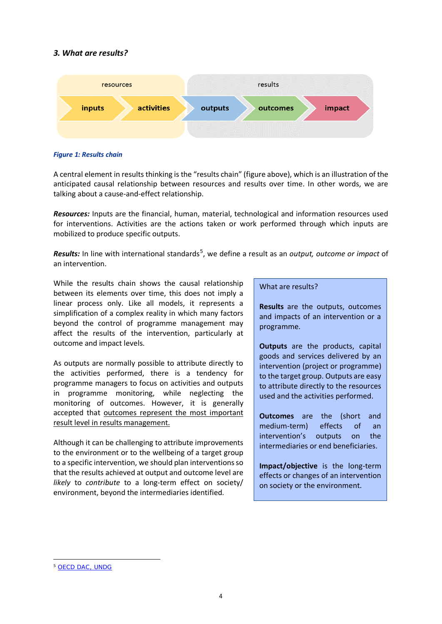### *3. What are results?*



### *Figure 1: Results chain*

A central element in results thinking is the "results chain" (figure above), which is an illustration of the anticipated causal relationship between resources and results over time. In other words, we are talking about a cause-and-effect relationship.

*Resources:* Inputs are the financial, human, material, technological and information resources used for interventions. Activities are the actions taken or work performed through which inputs are mobilized to produce specific outputs.

*Results:* In line with international standards<sup>[5](#page-5-0)</sup>, we define a result as an *output, outcome or impact* of an intervention.

While the results chain shows the causal relationship between its elements over time, this does not imply a linear process only. Like all models, it represents a simplification of a complex reality in which many factors beyond the control of programme management may affect the results of the intervention, particularly at outcome and impact levels.

As outputs are normally possible to attribute directly to the activities performed, there is a tendency for programme managers to focus on activities and outputs in programme monitoring, while neglecting the monitoring of outcomes. However, it is generally accepted that outcomes represent the most important result level in results management.

Although it can be challenging to attribute improvements to the environment or to the wellbeing of a target group to a specific intervention, we should plan interventions so that the results achieved at output and outcome level are *likely* to *contribute* to a long-term effect on society/ environment, beyond the intermediaries identified.

### What are results?

**Results** are the outputs, outcomes and impacts of an intervention or a programme.

**Outputs** are the products, capital goods and services delivered by an intervention (project or programme) to the target group. Outputs are easy to attribute directly to the resources used and the activities performed.

**Outcomes** are the (short and medium-term) effects of an intervention's outputs on the intermediaries or end beneficiaries.

**Impact/objective** is the long-term effects or changes of an intervention on society or the environment.

<span id="page-5-0"></span><sup>5</sup> [OECD DAC,](http://www.oecd.org/dac/2754804.pdf) [UNDG](https://unsdg.un.org/resources/unsdg-results-based-management-handbook)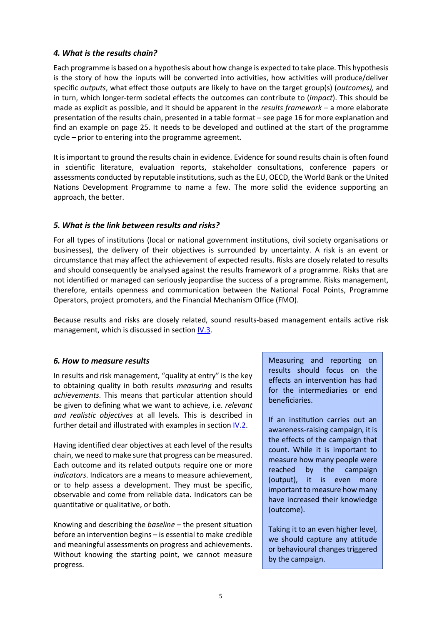### *4. What is the results chain?*

Each programme is based on a hypothesis about how change is expected to take place. This hypothesis is the story of how the inputs will be converted into activities, how activities will produce/deliver specific *outputs*, what effect those outputs are likely to have on the target group(s) (*outcomes),* and in turn, which longer-term societal effects the outcomes can contribute to (*impact*). This should be made as explicit as possible, and it should be apparent in the *results framework –* a more elaborate presentation of the results chain, presented in a table format – see page 16 for more explanation and find an example on page 25. It needs to be developed and outlined at the start of the programme cycle – prior to entering into the programme agreement.

It is important to ground the results chain in evidence. Evidence for sound results chain is often found in scientific literature, evaluation reports, stakeholder consultations, conference papers or assessments conducted by reputable institutions, such as the EU, OECD, the World Bank or the United Nations Development Programme to name a few. The more solid the evidence supporting an approach, the better.

### *5. What is the link between results and risks?*

For all types of institutions (local or national government institutions, civil society organisations or businesses), the delivery of their objectives is surrounded by uncertainty. A risk is an event or circumstance that may affect the achievement of expected results. Risks are closely related to results and should consequently be analysed against the results framework of a programme. Risks that are not identified or managed can seriously jeopardise the success of a programme. Risks management, therefore, entails openness and communication between the National Focal Points, Programme Operators, project promoters, and the Financial Mechanism Office (FMO).

Because results and risks are closely related, sound results-based management entails active risk management, which is discussed in section  $\underline{IV.3}$ .

### *6. How to measure results*

In results and risk management, "quality at entry" is the key to obtaining quality in both results *measuring* and results *achievements*. This means that particular attention should be given to defining what we want to achieve, i.e. *relevant and realistic objectives* at all levels. This is described in further detail and illustrated with examples in section [IV.2.](https://efta.sharepoint.com/sites/FMOResultsandEvaluationUnit/RE%20Guides%20%20Strategies/Results%20Guideline%20REVISED%202021_track%20changes.docx#_2._Develop_the)

Having identified clear objectives at each level of the results chain, we need to make sure that progress can be measured. Each outcome and its related outputs require one or more *indicators*. Indicators are a means to measure achievement, or to help assess a development. They must be specific, observable and come from reliable data. Indicators can be quantitative or qualitative, or both.

Knowing and describing the *baseline –* the present situation before an intervention begins – is essential to make credible and meaningful assessments on progress and achievements. Without knowing the starting point, we cannot measure progress.

Measuring and reporting on results should focus on the effects an intervention has had for the intermediaries or end beneficiaries.

If an institution carries out an awareness-raising campaign, it is the effects of the campaign that count. While it is important to measure how many people were reached by the campaign (output), it is even more important to measure how many have increased their knowledge (outcome).

Taking it to an even higher level, we should capture any attitude or behavioural changes triggered by the campaign.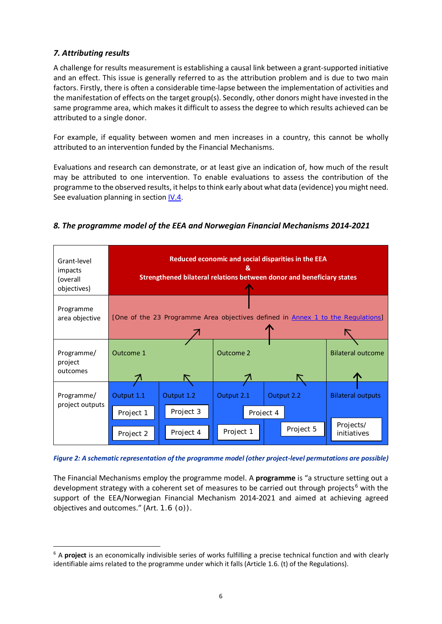### *7. Attributing results*

A challenge for results measurement is establishing a causal link between a grant-supported initiative and an effect. This issue is generally referred to as the attribution problem and is due to two main factors. Firstly, there is often a considerable time-lapse between the implementation of activities and the manifestation of effects on the target group(s). Secondly, other donors might have invested in the same programme area, which makes it difficult to assess the degree to which results achieved can be attributed to a single donor.

For example, if equality between women and men increases in a country, this cannot be wholly attributed to an intervention funded by the Financial Mechanisms.

Evaluations and research can demonstrate, or at least give an indication of, how much of the result may be attributed to one intervention. To enable evaluations to assess the contribution of the programme to the observed results, it helps to think early about what data (evidence) you might need. See evaluation planning in sectio[n IV.4.](https://efta.sharepoint.com/sites/FMOResultsandEvaluationUnit/RE%20Guides%20%20Strategies/Results%20Guideline%20REVISED%202021_track%20changes.docx#_Evaluation_planning_and)



### *8. The programme model of the EEA and Norwegian Financial Mechanisms 2014-2021*

*Figure 2: A schematic representation of the programme model (other project-level permutations are possible)*

The Financial Mechanisms employ the programme model. A **programme** is "a structure setting out a development strategy with a coherent set of measures to be carried out through projects<sup>[6](#page-7-0)</sup> with the support of the EEA/Norwegian Financial Mechanism 2014-2021 and aimed at achieving agreed objectives and outcomes." (Art. 1.6 (o)).

<span id="page-7-0"></span><sup>6</sup> A **project** is an economically indivisible series of works fulfilling a precise technical function and with clearly identifiable aims related to the programme under which it falls (Article 1.6. (t) of the Regulations).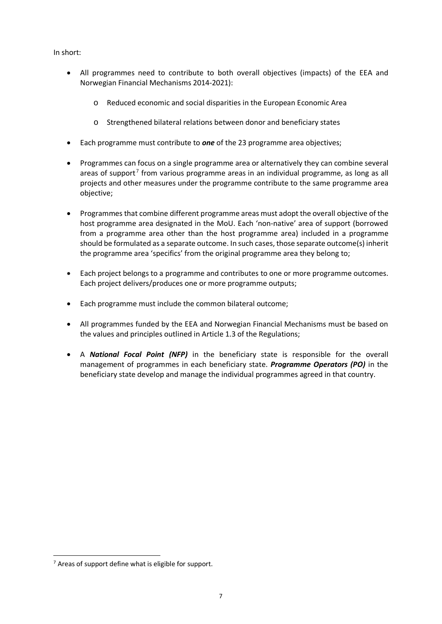In short:

- All programmes need to contribute to both overall objectives (impacts) of the EEA and Norwegian Financial Mechanisms 2014-2021):
	- o Reduced economic and social disparities in the European Economic Area
	- o Strengthened bilateral relations between donor and beneficiary states
- Each programme must contribute to *one* of the 23 programme area objectives;
- Programmes can focus on a single programme area or alternatively they can combine several areas of support<sup>[7](#page-8-0)</sup> from various programme areas in an individual programme, as long as all projects and other measures under the programme contribute to the same programme area objective;
- Programmes that combine different programme areas must adopt the overall objective of the host programme area designated in the MoU. Each 'non-native' area of support (borrowed from a programme area other than the host programme area) included in a programme should be formulated as a separate outcome. In such cases, those separate outcome(s) inherit the programme area 'specifics' from the original programme area they belong to;
- Each project belongs to a programme and contributes to one or more programme outcomes. Each project delivers/produces one or more programme outputs;
- Each programme must include the common bilateral outcome;
- All programmes funded by the EEA and Norwegian Financial Mechanisms must be based on the values and principles outlined in Article 1.3 of the Regulations;
- A *National Focal Point (NFP)* in the beneficiary state is responsible for the overall management of programmes in each beneficiary state. *Programme Operators (PO)* in the beneficiary state develop and manage the individual programmes agreed in that country.

<span id="page-8-0"></span> $<sup>7</sup>$  Areas of support define what is eligible for support.</sup>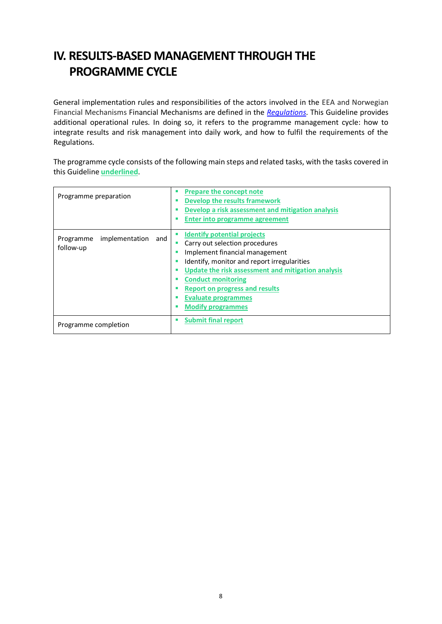# **IV. RESULTS-BASED MANAGEMENT THROUGH THE PROGRAMME CYCLE**

General implementation rules and responsibilities of the actors involved in the EEA and Norwegian Financial Mechanisms Financial Mechanisms are defined in the *[Regulations](https://eeagrants.org/resources?title=&field_resource_type_target_id=197)*. This Guideline provides additional operational rules. In doing so, it refers to the programme management cycle: how to integrate results and risk management into daily work, and how to fulfil the requirements of the Regulations.

The programme cycle consists of the following main steps and related tasks, with the tasks covered in this Guideline **underlined**.

| Programme preparation                           | <b>Prepare the concept note</b><br><b>Develop the results framework</b><br>ш<br>Develop a risk assessment and mitigation analysis<br>Enter into programme agreement                                                                                                                                                                                 |
|-------------------------------------------------|-----------------------------------------------------------------------------------------------------------------------------------------------------------------------------------------------------------------------------------------------------------------------------------------------------------------------------------------------------|
| implementation<br>Programme<br>and<br>follow-up | <b>Identify potential projects</b><br>Carry out selection procedures<br>ш<br>Implement financial management<br>Identify, monitor and report irregularities<br>ш<br>Update the risk assessment and mitigation analysis<br>п<br><b>Conduct monitoring</b><br><b>Report on progress and results</b><br>Evaluate programmes<br><b>Modify programmes</b> |
| Programme completion                            | <b>Submit final report</b><br>ш                                                                                                                                                                                                                                                                                                                     |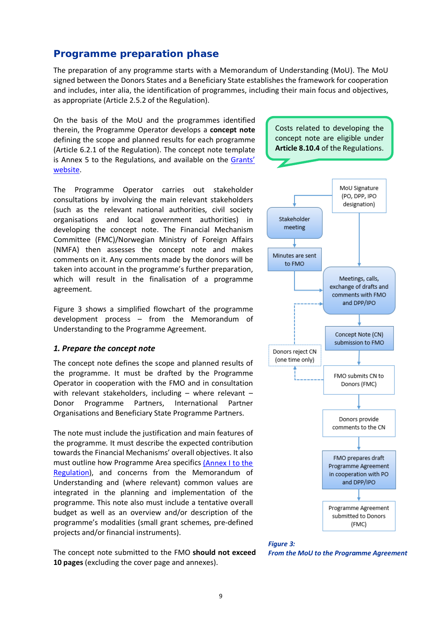### 9

### *Programme preparation phase*

The preparation of any programme starts with a Memorandum of Understanding (MoU). The MoU signed between the Donors States and a Beneficiary State establishes the framework for cooperation and includes, inter alia, the identification of programmes, including their main focus and objectives, as appropriate (Article 2.5.2 of the Regulation).

On the basis of the MoU and the programmes identified therein, the Programme Operator develops a **concept note** defining the scope and planned results for each programme (Article 6.2.1 of the Regulation). The concept note template is Annex 5 to the Regulations, and available on the Grants' [website.](https://eeagrants.org/resources/regulation-implementation-eea-grants-2014-2021-annex-5-template-programme-concept-note)

Costs related to developing the concept note are eligible under **Article 8.10.4** of the Regulations.

The Programme Operator carries out stakeholder consultations by involving the main relevant stakeholders (such as the relevant national authorities, civil society organisations and local government authorities) in developing the concept note. The Financial Mechanism Committee (FMC)/Norwegian Ministry of Foreign Affairs (NMFA) then assesses the concept note and makes comments on it. Any comments made by the donors will be taken into account in the programme's further preparation, which will result in the finalisation of a programme agreement.

Figure 3 shows a simplified flowchart of the programme development process – from the Memorandum of Understanding to the Programme Agreement.

#### *1. Prepare the concept note*

The concept note defines the scope and planned results of the programme. It must be drafted by the Programme Operator in cooperation with the FMO and in consultation with relevant stakeholders, including – where relevant – Donor Programme Partners, International Partner Organisations and Beneficiary State Programme Partners.

The note must include the justification and main features of the programme. It must describe the expected contribution towards the Financial Mechanisms' overall objectives. It also must outline how Programme Area specifics [\(Annex I to the](https://eeagrants.org/resources/regulation-implementation-eea-grants-2014-2021-annex-1-eligible-priority-sectors-and)  [Regulation\)](https://eeagrants.org/resources/regulation-implementation-eea-grants-2014-2021-annex-1-eligible-priority-sectors-and), and concerns from the Memorandum of Understanding and (where relevant) common values are integrated in the planning and implementation of the programme. This note also must include a tentative overall budget as well as an overview and/or description of the programme's modalities (small grant schemes, pre-defined projects and/or financial instruments).

The concept note submitted to the FMO **should not exceed 10 pages** (excluding the cover page and annexes).



*Figure 3: From the MoU to the Programme Agreement*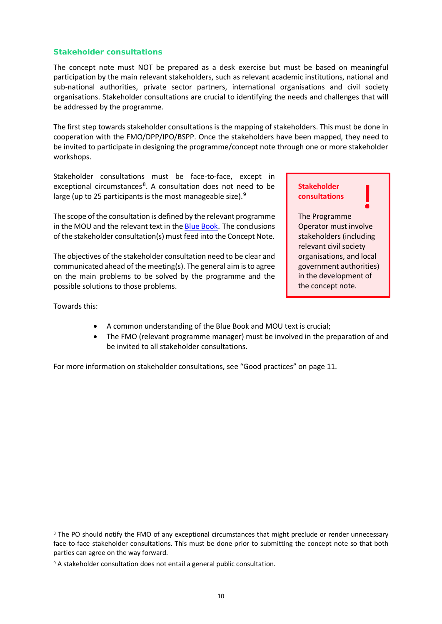### *Stakeholder consultations*

The concept note must NOT be prepared as a desk exercise but must be based on meaningful participation by the main relevant stakeholders, such as relevant academic institutions, national and sub-national authorities, private sector partners, international organisations and civil society organisations. Stakeholder consultations are crucial to identifying the needs and challenges that will be addressed by the programme.

The first step towards stakeholder consultations is the mapping of stakeholders. This must be done in cooperation with the FMO/DPP/IPO/BSPP. Once the stakeholders have been mapped, they need to be invited to participate in designing the programme/concept note through one or more stakeholder workshops.

Stakeholder consultations must be face-to-face, except in exceptional circumstances<sup>[8](#page-11-0)</sup>. A consultation does not need to be large (up to 25 participants is the most manageable size). $9$ 

The scope of the consultation is defined by the relevant programme in the MOU and the relevant text in the [Blue Book](http://www.eeagrants.org/bluebook). The conclusions of the stakeholder consultation(s) must feed into the Concept Note.

The objectives of the stakeholder consultation need to be clear and communicated ahead of the meeting(s). The general aim is to agree on the main problems to be solved by the programme and the possible solutions to those problems.

### **Stakeholder consultations**

The Programme Operator must involve stakeholders (including relevant civil society organisations, and local government authorities) in the development of the concept note.

Towards this:

- A common understanding of the Blue Book and MOU text is crucial;
- The FMO (relevant programme manager) must be involved in the preparation of and be invited to all stakeholder consultations.

For more information on stakeholder consultations, see "Good practices" on page 11.

<span id="page-11-0"></span><sup>&</sup>lt;sup>8</sup> The PO should notify the FMO of any exceptional circumstances that might preclude or render unnecessary face-to-face stakeholder consultations. This must be done prior to submitting the concept note so that both parties can agree on the way forward.

<span id="page-11-1"></span><sup>9</sup> A stakeholder consultation does not entail a general public consultation.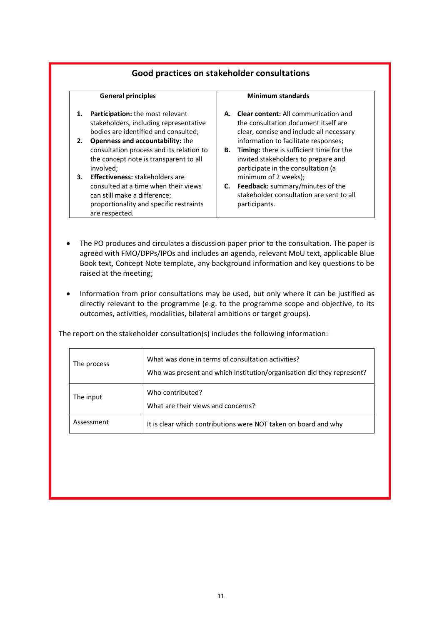### **Good practices on stakeholder consultations**

#### **General principles**

- **1. Participation:** the most relevant stakeholders, including representative bodies are identified and consulted;
- **2. Openness and accountability:** the consultation process and its relation to the concept note is transparent to all involved;
- **3. Effectiveness:** stakeholders are consulted at a time when their views can still make a difference; proportionality and specific restraints are respected.

#### **Minimum standards**

- **A. Clear content:** All communication and the consultation document itself are clear, concise and include all necessary information to facilitate responses;
- **B. Timing:** there is sufficient time for the invited stakeholders to prepare and participate in the consultation (a minimum of 2 weeks);
- **C. Feedback:** summary/minutes of the stakeholder consultation are sent to all participants.
- The PO produces and circulates a discussion paper prior to the consultation. The paper is agreed with FMO/DPPs/IPOs and includes an agenda, relevant MoU text, applicable Blue Book text, Concept Note template, any background information and key questions to be raised at the meeting;
- Information from prior consultations may be used, but only where it can be justified as directly relevant to the programme (e.g. to the programme scope and objective, to its outcomes, activities, modalities, bilateral ambitions or target groups).

The report on the stakeholder consultation(s) includes the following information:

| The process | What was done in terms of consultation activities?<br>Who was present and which institution/organisation did they represent? |
|-------------|------------------------------------------------------------------------------------------------------------------------------|
| The input   | Who contributed?<br>What are their views and concerns?                                                                       |
| Assessment  | It is clear which contributions were NOT taken on board and why                                                              |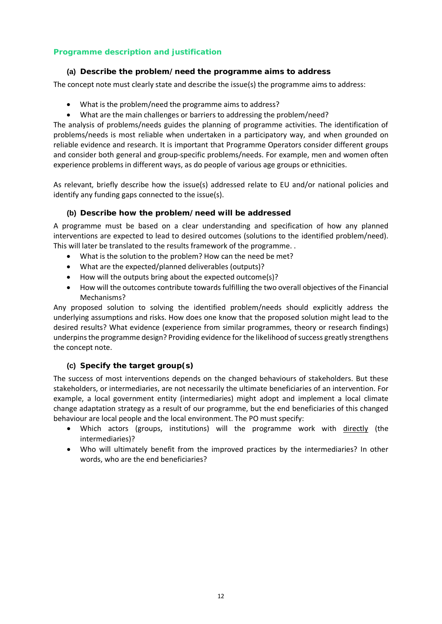### *Programme description and justification*

### **(a) Describe the problem/need the programme aims to address**

The concept note must clearly state and describe the issue(s) the programme aims to address:

- What is the problem/need the programme aims to address?
- What are the main challenges or barriers to addressing the problem/need?

The analysis of problems/needs guides the planning of programme activities. The identification of problems/needs is most reliable when undertaken in a participatory way, and when grounded on reliable evidence and research. It is important that Programme Operators consider different groups and consider both general and group-specific problems/needs. For example, men and women often experience problems in different ways, as do people of various age groups or ethnicities.

As relevant, briefly describe how the issue(s) addressed relate to EU and/or national policies and identify any funding gaps connected to the issue(s).

### **(b) Describe how the problem/need will be addressed**

A programme must be based on a clear understanding and specification of how any planned interventions are expected to lead to desired outcomes (solutions to the identified problem/need). This will later be translated to the results framework of the programme. .

- What is the solution to the problem? How can the need be met?
- What are the expected/planned deliverables (outputs)?
- How will the outputs bring about the expected outcome(s)?
- How will the outcomes contribute towards fulfilling the two overall objectives of the Financial Mechanisms?

Any proposed solution to solving the identified problem/needs should explicitly address the underlying assumptions and risks. How does one know that the proposed solution might lead to the desired results? What evidence (experience from similar programmes, theory or research findings) underpins the programme design? Providing evidence for the likelihood of success greatly strengthens the concept note.

### **(c) Specify the target group(s)**

The success of most interventions depends on the changed behaviours of stakeholders. But these stakeholders, or intermediaries, are not necessarily the ultimate beneficiaries of an intervention. For example, a local government entity (intermediaries) might adopt and implement a local climate change adaptation strategy as a result of our programme, but the end beneficiaries of this changed behaviour are local people and the local environment. The PO must specify:

- Which actors (groups, institutions) will the programme work with directly (the intermediaries)?
- Who will ultimately benefit from the improved practices by the intermediaries? In other words, who are the end beneficiaries?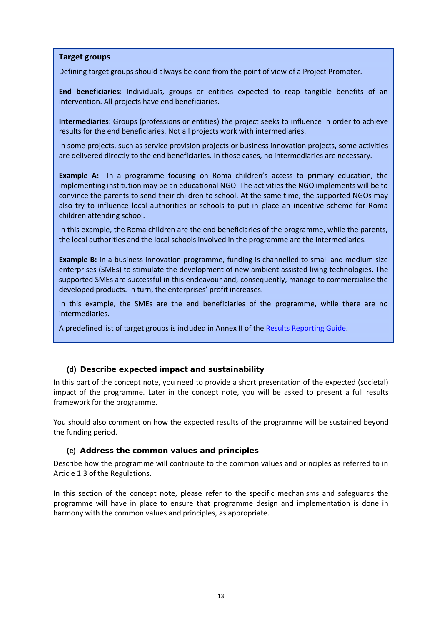### **Target groups**

Defining target groups should always be done from the point of view of a Project Promoter.

**End beneficiaries**: Individuals, groups or entities expected to reap tangible benefits of an intervention. All projects have end beneficiaries.

**Intermediaries**: Groups (professions or entities) the project seeks to influence in order to achieve results for the end beneficiaries. Not all projects work with intermediaries.

In some projects, such as service provision projects or business innovation projects, some activities are delivered directly to the end beneficiaries. In those cases, no intermediaries are necessary.

**Example A:** In a programme focusing on Roma children's access to primary education, the implementing institution may be an educational NGO. The activities the NGO implements will be to convince the parents to send their children to school. At the same time, the supported NGOs may also try to influence local authorities or schools to put in place an incentive scheme for Roma children attending school.

In this example, the Roma children are the end beneficiaries of the programme, while the parents, the local authorities and the local schools involved in the programme are the intermediaries.

**Example B:** In a business innovation programme, funding is channelled to small and medium-size enterprises (SMEs) to stimulate the development of new ambient assisted living technologies. The supported SMEs are successful in this endeavour and, consequently, manage to commercialise the developed products. In turn, the enterprises' profit increases.

In this example, the SMEs are the end beneficiaries of the programme, while there are no intermediaries.

A predefined list of target groups is included in Annex II of the [Results Reporting Guide.](https://eeagrants.org/resources/eea-and-norway-grants-2014-2021-results-reporting-guide)

### **(d) Describe expected impact and sustainability**

In this part of the concept note, you need to provide a short presentation of the expected (societal) impact of the programme. Later in the concept note, you will be asked to present a full results framework for the programme.

You should also comment on how the expected results of the programme will be sustained beyond the funding period.

### **(e) Address the common values and principles**

Describe how the programme will contribute to the common values and principles as referred to in Article 1.3 of the Regulations.

In this section of the concept note, please refer to the specific mechanisms and safeguards the programme will have in place to ensure that programme design and implementation is done in harmony with the common values and principles, as appropriate.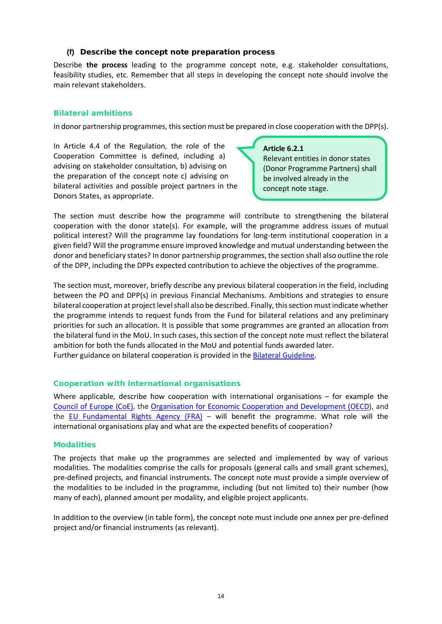### **(f) Describe the concept note preparation process**

Describe **the process** leading to the programme concept note, e.g. stakeholder consultations, feasibility studies, etc. Remember that all steps in developing the concept note should involve the main relevant stakeholders.

### *Bilateral ambitions*

In donor partnership programmes, this section must be prepared in close cooperation with the DPP(s).

In Article 4.4 of the Regulation, the role of the Cooperation Committee is defined, including a) advising on stakeholder consultation, b) advising on the preparation of the concept note c) advising on bilateral activities and possible project partners in the Donors States, as appropriate.

### **Article 6.2.1**

Relevant entities in donor states (Donor Programme Partners) shall be involved already in the concept note stage.

The section must describe how the programme will contribute to strengthening the bilateral cooperation with the donor state(s). For example, will the programme address issues of mutual political interest? Will the programme lay foundations for long-term institutional cooperation in a given field? Will the programme ensure improved knowledge and mutual understanding between the donor and beneficiary states? In donor partnership programmes, the section shall also outline the role of the DPP, including the DPPs expected contribution to achieve the objectives of the programme.

The section must, moreover, briefly describe any previous bilateral cooperation in the field, including between the PO and DPP(s) in previous Financial Mechanisms. Ambitions and strategies to ensure bilateral cooperation at project level shall also be described. Finally, this section must indicate whether the programme intends to request funds from the Fund for bilateral relations and any preliminary priorities for such an allocation. It is possible that some programmes are granted an allocation from the bilateral fund in the MoU. In such cases, this section of the concept note must reflect the bilateral ambition for both the funds allocated in the MoU and potential funds awarded later. Further guidance on bilateral cooperation is provided in the [Bilateral Guideline.](https://eeagrants.org/resources/2014-2021-bilateral-guideline)

### *Cooperation with international organisations*

Where applicable, describe how cooperation with international organisations – for example the [Council of Europe \(CoE\),](http://www.coe.int/en/) the [Organisation for Economic Cooperation and Development \(OECD\)](http://www.oecd.org/), and the [EU Fundamental Rights Agency \(FRA\)](http://fra.europa.eu/en) – will benefit the programme. What role will the international organisations play and what are the expected benefits of cooperation?

### *Modalities*

The projects that make up the programmes are selected and implemented by way of various modalities. The modalities comprise the calls for proposals (general calls and small grant schemes), pre-defined projects, and financial instruments. The concept note must provide a simple overview of the modalities to be included in the programme, including (but not limited to) their number (how many of each), planned amount per modality, and eligible project applicants.

In addition to the overview (in table form), the concept note must include one annex per pre-defined project and/or financial instruments (as relevant).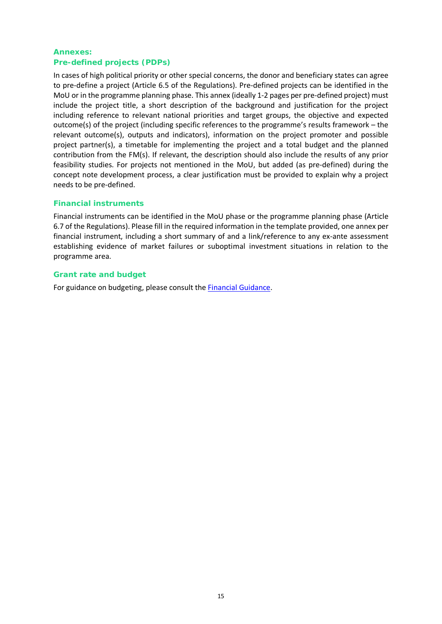### *Annexes: Pre-defined projects (PDPs)*

In cases of high political priority or other special concerns, the donor and beneficiary states can agree to pre-define a project (Article 6.5 of the Regulations). Pre-defined projects can be identified in the MoU or in the programme planning phase. This annex (ideally 1-2 pages per pre-defined project) must include the project title, a short description of the background and justification for the project including reference to relevant national priorities and target groups, the objective and expected outcome(s) of the project (including specific references to the programme's results framework – the relevant outcome(s), outputs and indicators), information on the project promoter and possible project partner(s), a timetable for implementing the project and a total budget and the planned contribution from the FM(s). If relevant, the description should also include the results of any prior feasibility studies. For projects not mentioned in the MoU, but added (as pre-defined) during the concept note development process, a clear justification must be provided to explain why a project needs to be pre-defined.

### *Financial instruments*

Financial instruments can be identified in the MoU phase or the programme planning phase (Article 6.7 of the Regulations). Please fill in the required information in the template provided, one annex per financial instrument, including a short summary of and a link/reference to any ex-ante assessment establishing evidence of market failures or suboptimal investment situations in relation to the programme area.

### *Grant rate and budget*

For guidance on budgeting, please consult the **Financial Guidance**.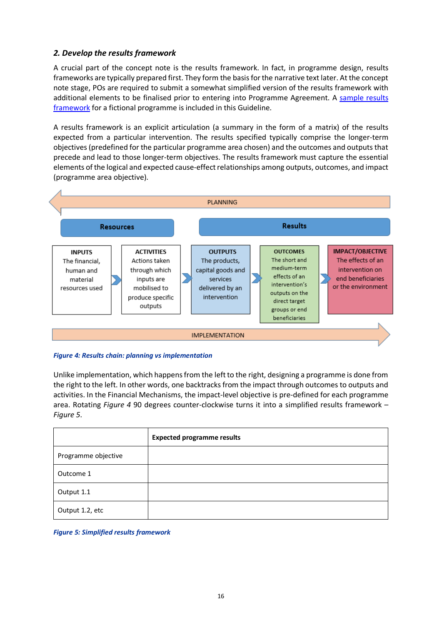### *2. Develop the results framework*

A crucial part of the concept note is the results framework. In fact, in programme design, results frameworks are typically prepared first. They form the basis for the narrative text later. At the concept note stage, POs are required to submit a somewhat simplified version of the results framework with additional elements to be finalised prior to entering into Programme Agreement. A sample results [framework](https://efta.sharepoint.com/sites/FMOResultsandEvaluationUnit/RE%20Guides%20%20Strategies/Results%20Guideline%20REVISED%202021_track%20changes.docx#_Sample_results_framework) for a fictional programme is included in this Guideline.

A results framework is an explicit articulation (a summary in the form of a matrix) of the results expected from a particular intervention. The results specified typically comprise the longer-term objectives (predefined for the particular programme area chosen) and the outcomes and outputs that precede and lead to those longer-term objectives. The results framework must capture the essential elements of the logical and expected cause-effect relationships among outputs, outcomes, and impact (programme area objective).



### *Figure 4: Results chain: planning vs implementation*

Unlike implementation, which happens from the left to the right, designing a programme is done from the right to the left. In other words, one backtracks from the impact through outcomes to outputs and activities. In the Financial Mechanisms, the impact-level objective is pre-defined for each programme area. Rotating *Figure 4* 90 degrees counter-clockwise turns it into a simplified results framework – *Figure 5*.

|                     | <b>Expected programme results</b> |
|---------------------|-----------------------------------|
| Programme objective |                                   |
| Outcome 1           |                                   |
| Output 1.1          |                                   |
| Output 1.2, etc     |                                   |

*Figure 5: Simplified results framework*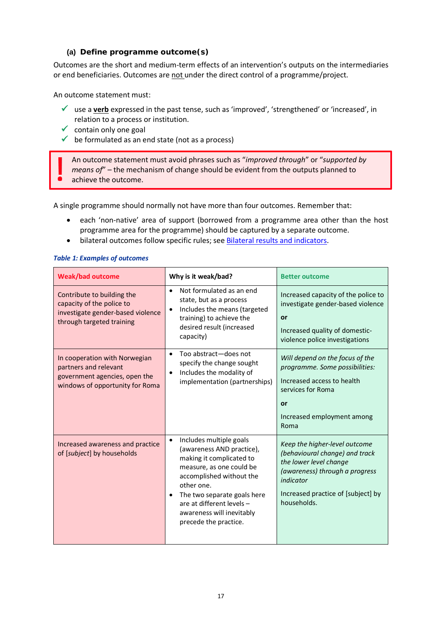### **(a) Define programme outcome(s)**

Outcomes are the short and medium-term effects of an intervention's outputs on the intermediaries or end beneficiaries. Outcomes are not under the direct control of a programme/project.

An outcome statement must:

- use a **verb** expressed in the past tense, such as 'improved', 'strengthened' or 'increased', in relation to a process or institution.
- $\checkmark$  contain only one goal
- $\checkmark$  be formulated as an end state (not as a process)

An outcome statement must avoid phrases such as "*improved through*" or "*supported by means of*" – the mechanism of change should be evident from the outputs planned to achieve the outcome.

A single programme should normally not have more than four outcomes. Remember that:

- each 'non-native' area of support (borrowed from a programme area other than the host programme area for the programme) should be captured by a separate outcome.
- bilateral outcomes follow specific rules; see [Bilateral results and indicators.](https://efta.sharepoint.com/sites/FMOResultsandEvaluationUnit/RE%20Guides%20%20Strategies/Results%20Guideline%20REVISED%202021_track%20changes.docx#_Bilateral_results_and)

### *Table 1: Examples of outcomes*

| <b>Weak/bad outcome</b>                                                                                                    | Why is it weak/bad?                                                                                                                                                                                                                                                           | <b>Better outcome</b>                                                                                                                                                                         |
|----------------------------------------------------------------------------------------------------------------------------|-------------------------------------------------------------------------------------------------------------------------------------------------------------------------------------------------------------------------------------------------------------------------------|-----------------------------------------------------------------------------------------------------------------------------------------------------------------------------------------------|
| Contribute to building the<br>capacity of the police to<br>investigate gender-based violence<br>through targeted training  | Not formulated as an end<br>state, but as a process<br>Includes the means (targeted<br>training) to achieve the<br>desired result (increased<br>capacity)                                                                                                                     | Increased capacity of the police to<br>investigate gender-based violence<br>or<br>Increased quality of domestic-<br>violence police investigations                                            |
| In cooperation with Norwegian<br>partners and relevant<br>government agencies, open the<br>windows of opportunity for Roma | Too abstract-does not<br>$\bullet$<br>specify the change sought<br>Includes the modality of<br>٠<br>implementation (partnerships)                                                                                                                                             | Will depend on the focus of the<br>programme. Some possibilities:<br>Increased access to health<br>services for Roma<br>or<br>Increased employment among<br>Roma                              |
| Increased awareness and practice<br>of [subject] by households                                                             | Includes multiple goals<br>٠<br>(awareness AND practice),<br>making it complicated to<br>measure, as one could be<br>accomplished without the<br>other one.<br>The two separate goals here<br>are at different levels -<br>awareness will inevitably<br>precede the practice. | Keep the higher-level outcome<br>(behavioural change) and track<br>the lower level change<br>(awareness) through a progress<br>indicator<br>Increased practice of [subject] by<br>households. |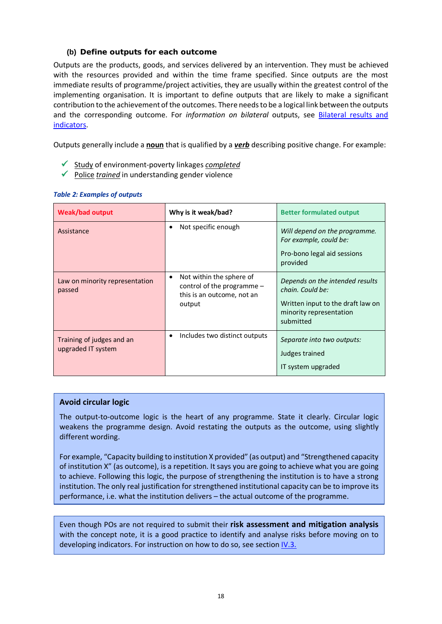### **(b) Define outputs for each outcome**

Outputs are the products, goods, and services delivered by an intervention. They must be achieved with the resources provided and within the time frame specified. Since outputs are the most immediate results of programme/project activities, they are usually within the greatest control of the implementing organisation. It is important to define outputs that are likely to make a significant contribution to the achievement of the outcomes. There needs to be a logical link between the outputs and the corresponding outcome. For *information on bilateral* outputs, see [Bilateral results and](https://efta.sharepoint.com/sites/FMOResultsandEvaluationUnit/RE%20Guides%20%20Strategies/Results%20Guideline%20REVISED%202021_track%20changes.docx#_Bilateral_results_and)  [indicators.](https://efta.sharepoint.com/sites/FMOResultsandEvaluationUnit/RE%20Guides%20%20Strategies/Results%20Guideline%20REVISED%202021_track%20changes.docx#_Bilateral_results_and)

Outputs generally include a **noun** that is qualified by a *verb* describing positive change. For example:

- Study of environment-poverty linkages *completed*
- Police *trained* in understanding gender violence

| <b>Weak/bad output</b>                          | Why is it weak/bad?                                                                                           | <b>Better formulated output</b>                                                                                                  |
|-------------------------------------------------|---------------------------------------------------------------------------------------------------------------|----------------------------------------------------------------------------------------------------------------------------------|
| Assistance                                      | Not specific enough<br>$\bullet$                                                                              | Will depend on the programme.<br>For example, could be:<br>Pro-bono legal aid sessions<br>provided                               |
| Law on minority representation<br>passed        | Not within the sphere of<br>$\bullet$<br>control of the programme $-$<br>this is an outcome, not an<br>output | Depends on the intended results<br>chain. Could be:<br>Written input to the draft law on<br>minority representation<br>submitted |
| Training of judges and an<br>upgraded IT system | Includes two distinct outputs<br>٠                                                                            | Separate into two outputs:<br>Judges trained<br>IT system upgraded                                                               |

#### *Table 2: Examples of outputs*

### **Avoid circular logic**

The output-to-outcome logic is the heart of any programme. State it clearly. Circular logic weakens the programme design. Avoid restating the outputs as the outcome, using slightly different wording.

For example, "Capacity building to institution X provided" (as output) and "Strengthened capacity of institution X" (as outcome), is a repetition. It says you are going to achieve what you are going to achieve. Following this logic, the purpose of strengthening the institution is to have a strong institution. The only real justification for strengthened institutional capacity can be to improve its performance, i.e. what the institution delivers – the actual outcome of the programme.

Even though POs are not required to submit their **risk assessment and mitigation analysis** with the concept note, it is a good practice to identify and analyse risks before moving on to developing indicators. For instruction on how to do so, see section [IV.3.](https://efta.sharepoint.com/sites/FMOResultsandEvaluationUnit/RE%20Guides%20%20Strategies/Results%20Guideline%20REVISED%202021_track%20changes.docx#_Identify_risks)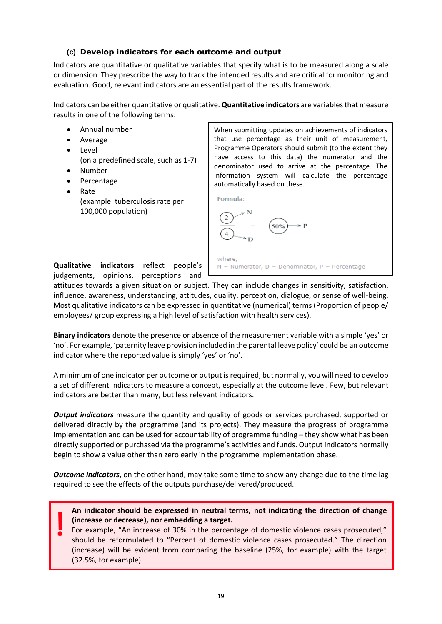### **(c) Develop indicators for each outcome and output**

Indicators are quantitative or qualitative variables that specify what is to be measured along a scale or dimension. They prescribe the way to track the intended results and are critical for monitoring and evaluation. Good, relevant indicators are an essential part of the results framework.

Indicators can be either quantitative or qualitative. **Quantitative indicators** are variables that measure results in one of the following terms:

- Annual number
- Average
- Level
	- (on a predefined scale, such as 1-7)
- Number
- **Percentage** 
	- Rate (example: tuberculosis rate per 100,000 population)

When submitting updates on achievements of indicators that use percentage as their unit of measurement, Programme Operators should submit (to the extent they have access to this data) the numerator and the denominator used to arrive at the percentage. The information system will calculate the percentage automatically based on these.



where.

 $N =$  Numerator, D = Denominator, P = Percentage

**Qualitative indicators** reflect people's judgements, opinions, perceptions and

attitudes towards a given situation or subject. They can include changes in sensitivity, satisfaction, influence, awareness, understanding, attitudes, quality, perception, dialogue, or sense of well-being. Most qualitative indicators can be expressed in quantitative (numerical) terms (Proportion of people/ employees/ group expressing a high level of satisfaction with health services).

**Binary indicators** denote the presence or absence of the measurement variable with a simple 'yes' or 'no'. For example, 'paternity leave provision included in the parental leave policy' could be an outcome indicator where the reported value is simply 'yes' or 'no'.

A minimum of one indicator per outcome or output is required, but normally, you will need to develop a set of different indicators to measure a concept, especially at the outcome level. Few, but relevant indicators are better than many, but less relevant indicators.

*Output indicators* measure the quantity and quality of goods or services purchased, supported or delivered directly by the programme (and its projects). They measure the progress of programme implementation and can be used for accountability of programme funding – they show what has been directly supported or purchased via the programme's activities and funds. Output indicators normally begin to show a value other than zero early in the programme implementation phase.

*Outcome indicators*, on the other hand, may take some time to show any change due to the time lag required to see the effects of the outputs purchase/delivered/produced.

**An indicator should be expressed in neutral terms, not indicating the direction of change (increase or decrease), nor embedding a target.** 

For example, "An increase of 30% in the percentage of domestic violence cases prosecuted," should be reformulated to "Percent of domestic violence cases prosecuted." The direction (increase) will be evident from comparing the baseline (25%, for example) with the target (32.5%, for example).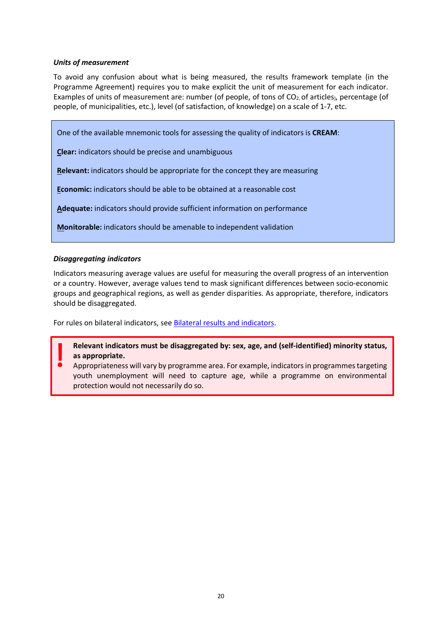### *Units of measurement*

To avoid any confusion about what is being measured, the results framework template (in the Programme Agreement) requires you to make explicit the unit of measurement for each indicator. Examples of units of measurement are: number (of people, of tons of  $CO<sub>2</sub>$ , of articles), percentage (of people, of municipalities, etc.), level (of satisfaction, of knowledge) on a scale of 1-7, etc.

One of the available mnemonic tools for assessing the quality of indicators is **CREAM**:

**Clear:** indicators should be precise and unambiguous

**Relevant:** indicators should be appropriate for the concept they are measuring

**Economic:** indicators should be able to be obtained at a reasonable cost

**Adequate:** indicators should provide sufficient information on performance

**Monitorable:** indicators should be amenable to independent validation

### *Disaggregating indicators*

Indicators measuring average values are useful for measuring the overall progress of an intervention or a country. However, average values tend to mask significant differences between socio-economic groups and geographical regions, as well as gender disparities. As appropriate, therefore, indicators should be disaggregated.

For rules on bilateral indicators, see [Bilateral results and indicators.](https://efta.sharepoint.com/sites/FMOResultsandEvaluationUnit/RE%20Guides%20%20Strategies/Results%20Guideline%20REVISED%202021_track%20changes.docx#_Bilateral_results_and)

**Relevant indicators must be disaggregated by: sex, age, and (self-identified) minority status, as appropriate.** 

Appropriateness will vary by programme area. For example, indicators in programmes targeting youth unemployment will need to capture age, while a programme on environmental protection would not necessarily do so.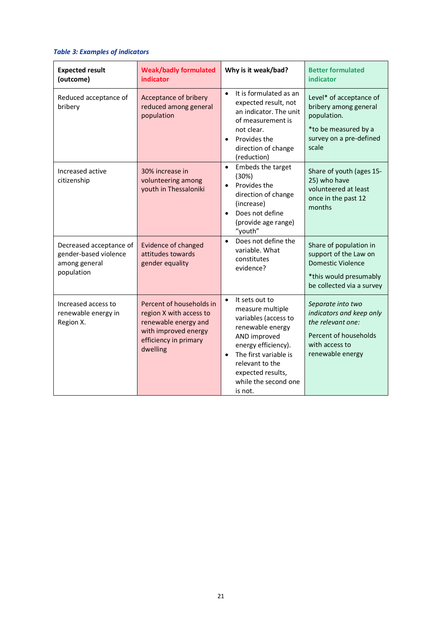### *Table 3: Examples of indicators*

| <b>Expected result</b><br>(outcome)                                             | <b>Weak/badly formulated</b><br><b>indicator</b>                                                                                         | Why is it weak/bad?                                                                                                                                                                                                                                 | <b>Better formulated</b><br>indicator                                                                                              |
|---------------------------------------------------------------------------------|------------------------------------------------------------------------------------------------------------------------------------------|-----------------------------------------------------------------------------------------------------------------------------------------------------------------------------------------------------------------------------------------------------|------------------------------------------------------------------------------------------------------------------------------------|
| Reduced acceptance of<br>bribery                                                | Acceptance of bribery<br>reduced among general<br>population                                                                             | It is formulated as an<br>$\bullet$<br>expected result, not<br>an indicator. The unit<br>of measurement is<br>not clear.<br>Provides the<br>$\bullet$<br>direction of change<br>(reduction)                                                         | Level* of acceptance of<br>bribery among general<br>population.<br>*to be measured by a<br>survey on a pre-defined<br>scale        |
| Increased active<br>citizenship                                                 | 30% increase in<br>volunteering among<br>youth in Thessaloniki                                                                           | Embeds the target<br>$\bullet$<br>(30%)<br>Provides the<br>$\bullet$<br>direction of change<br>(increase)<br>Does not define<br>$\bullet$<br>(provide age range)<br>"youth"                                                                         | Share of youth (ages 15-<br>25) who have<br>volunteered at least<br>once in the past 12<br>months                                  |
| Decreased acceptance of<br>gender-based violence<br>among general<br>population | <b>Evidence of changed</b><br>attitudes towards<br>gender equality                                                                       | Does not define the<br>$\bullet$<br>variable. What<br>constitutes<br>evidence?                                                                                                                                                                      | Share of population in<br>support of the Law on<br><b>Domestic Violence</b><br>*this would presumably<br>be collected via a survey |
| Increased access to<br>renewable energy in<br>Region X.                         | Percent of households in<br>region X with access to<br>renewable energy and<br>with improved energy<br>efficiency in primary<br>dwelling | It sets out to<br>$\bullet$<br>measure multiple<br>variables (access to<br>renewable energy<br>AND improved<br>energy efficiency).<br>The first variable is<br>$\bullet$<br>relevant to the<br>expected results,<br>while the second one<br>is not. | Separate into two<br>indicators and keep only<br>the relevant one:<br>Percent of households<br>with access to<br>renewable energy  |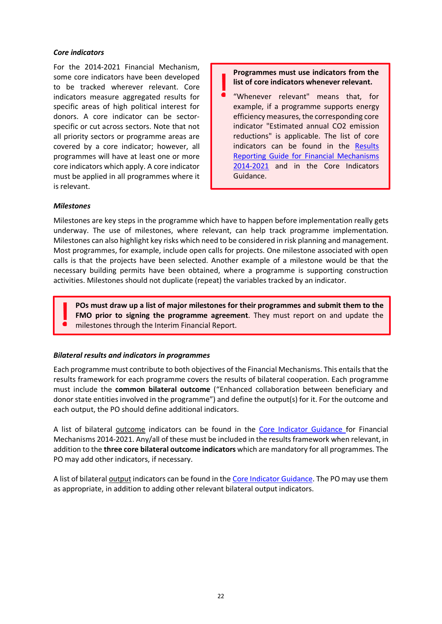### *Core indicators*

For the 2014-2021 Financial Mechanism, some core indicators have been developed to be tracked wherever relevant. Core indicators measure aggregated results for specific areas of high political interest for donors. A core indicator can be sectorspecific or cut across sectors. Note that not all priority sectors or programme areas are covered by a core indicator; however, all programmes will have at least one or more core indicators which apply. A core indicator must be applied in all programmes where it is relevant.

**Programmes must use indicators from the list of core indicators whenever relevant.** 

"Whenever relevant" means that, for example, if a programme supports energy efficiency measures, the corresponding core indicator "Estimated annual CO2 emission reductions" is applicable. The list of core indicators can be found in the [Results](https://eeagrants.org/resources/eea-and-norway-grants-2014-2021-results-reporting-guide)  [Reporting Guide for Financial Mechanisms](https://eeagrants.org/resources/eea-and-norway-grants-2014-2021-results-reporting-guide)  [2014-2021](https://eeagrants.org/resources/eea-and-norway-grants-2014-2021-results-reporting-guide) and in the Core Indicators Guidance.

#### *Milestones*

Milestones are key steps in the programme which have to happen before implementation really gets underway. The use of milestones, where relevant, can help track programme implementation. Milestones can also highlight key risks which need to be considered in risk planning and management. Most programmes, for example, include open calls for projects. One milestone associated with open calls is that the projects have been selected. Another example of a milestone would be that the necessary building permits have been obtained, where a programme is supporting construction activities. Milestones should not duplicate (repeat) the variables tracked by an indicator.

**POs must draw up a list of major milestones for their programmes and submit them to the FMO prior to signing the programme agreement**. They must report on and update the milestones through the Interim Financial Report.

#### *Bilateral results and indicators in programmes*

Each programme must contribute to both objectives of the Financial Mechanisms. This entails that the results framework for each programme covers the results of bilateral cooperation. Each programme must include the **common bilateral outcome** ("Enhanced collaboration between beneficiary and donor state entities involved in the programme") and define the output(s) for it. For the outcome and each output, the PO should define additional indicators.

A list of bilateral outcome indicators can be found in the [Core Indicator Guidance](https://eeagrants.org/resources/eea-and-norway-grants-2014-2021-core-indicator-guidance) for Financial Mechanisms 2014-2021. Any/all of these must be included in the results framework when relevant, in addition to the **three core bilateral outcome indicators** which are mandatory for all programmes. The PO may add other indicators, if necessary.

A list of bilateral output indicators can be found in th[e Core Indicator Guidance.](https://eeagrants.org/resources/eea-and-norway-grants-2014-2021-core-indicator-guidance) The PO may use them as appropriate, in addition to adding other relevant bilateral output indicators.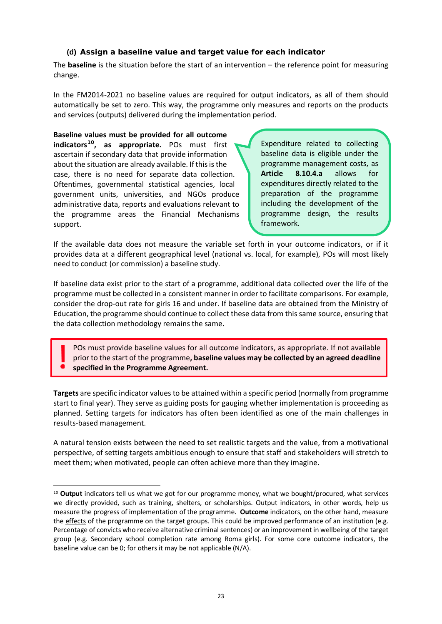### **(d) Assign a baseline value and target value for each indicator**

The **baseline** is the situation before the start of an intervention – the reference point for measuring change.

In the FM2014-2021 no baseline values are required for output indicators, as all of them should automatically be set to zero. This way, the programme only measures and reports on the products and services (outputs) delivered during the implementation period.

**Baseline values must be provided for all outcome indicators[10](#page-24-0), as appropriate.** POs must first ascertain if secondary data that provide information about the situation are already available. If this is the case, there is no need for separate data collection. Oftentimes, governmental statistical agencies, local government units, universities, and NGOs produce administrative data, reports and evaluations relevant to the programme areas the Financial Mechanisms support.

Expenditure related to collecting baseline data is eligible under the programme management costs, as **Article 8.10.4.a** allows for expenditures directly related to the preparation of the programme including the development of the programme design, the results framework.

If the available data does not measure the variable set forth in your outcome indicators, or if it provides data at a different geographical level (national vs. local, for example), POs will most likely need to conduct (or commission) a baseline study.

If baseline data exist prior to the start of a programme, additional data collected over the life of the programme must be collected in a consistent manner in order to facilitate comparisons. For example, consider the drop-out rate for girls 16 and under. If baseline data are obtained from the Ministry of Education, the programme should continue to collect these data from this same source, ensuring that the data collection methodology remains the same.

POs must provide baseline values for all outcome indicators, as appropriate. If not available prior to the start of the programme**, baseline values may be collected by an agreed deadline specified in the Programme Agreement.**

**Targets** are specific indicator values to be attained within a specific period (normally from programme start to final year). They serve as guiding posts for gauging whether implementation is proceeding as planned. Setting targets for indicators has often been identified as one of the main challenges in results-based management.

A natural tension exists between the need to set realistic targets and the value, from a motivational perspective, of setting targets ambitious enough to ensure that staff and stakeholders will stretch to meet them; when motivated, people can often achieve more than they imagine.

<span id="page-24-0"></span><sup>10</sup> **Output** indicators tell us what we got for our programme money, what we bought/procured, what services we directly provided, such as training, shelters, or scholarships. Output indicators, in other words, help us measure the progress of implementation of the programme. **Outcome** indicators, on the other hand, measure the effects of the programme on the target groups. This could be improved performance of an institution (e.g. Percentage of convicts who receive alternative criminal sentences) or an improvement in wellbeing of the target group (e.g. Secondary school completion rate among Roma girls). For some core outcome indicators, the baseline value can be 0; for others it may be not applicable (N/A).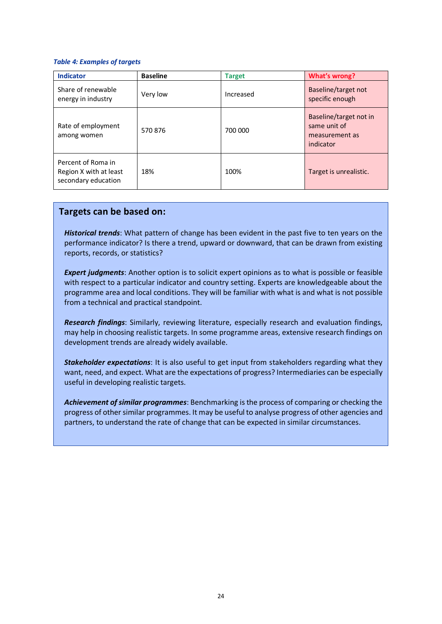#### *Table 4: Examples of targets*

| <b>Indicator</b>                                                    | <b>Baseline</b> | <b>Target</b> | <b>What's wrong?</b>                                                  |
|---------------------------------------------------------------------|-----------------|---------------|-----------------------------------------------------------------------|
| Share of renewable<br>energy in industry                            | Very low        | Increased     | Baseline/target not<br>specific enough                                |
| Rate of employment<br>among women                                   | 570876          | 700 000       | Baseline/target not in<br>same unit of<br>measurement as<br>indicator |
| Percent of Roma in<br>Region X with at least<br>secondary education | 18%             | 100%          | Target is unrealistic.                                                |

### **Targets can be based on:**

*Historical trends*: What pattern of change has been evident in the past five to ten years on the performance indicator? Is there a trend, upward or downward, that can be drawn from existing reports, records, or statistics?

*Expert judgments*: Another option is to solicit expert opinions as to what is possible or feasible with respect to a particular indicator and country setting. Experts are knowledgeable about the programme area and local conditions. They will be familiar with what is and what is not possible from a technical and practical standpoint.

*Research findings*: Similarly, reviewing literature, especially research and evaluation findings, may help in choosing realistic targets. In some programme areas, extensive research findings on development trends are already widely available.

*Stakeholder expectations*: It is also useful to get input from stakeholders regarding what they want, need, and expect. What are the expectations of progress? Intermediaries can be especially useful in developing realistic targets.

*Achievement of similar programmes*: Benchmarking is the process of comparing or checking the progress of other similar programmes. It may be useful to analyse progress of other agencies and partners, to understand the rate of change that can be expected in similar circumstances.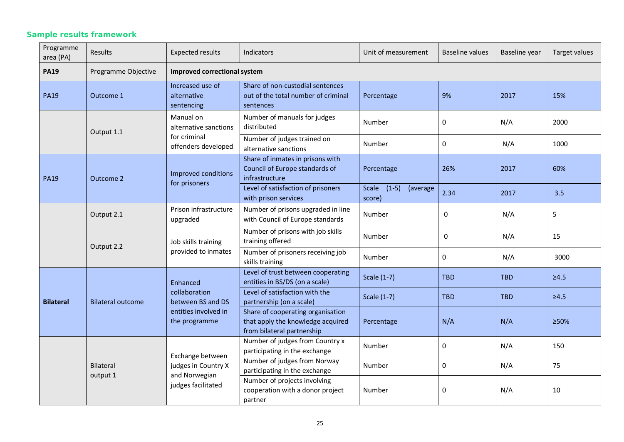### *Sample results framework*

| Programme<br>area (PA)       | Results                  | <b>Expected results</b>                                                        | <b>Indicators</b>                                                                                    | Unit of measurement                    | Baseline values | Baseline year | Target values |  |
|------------------------------|--------------------------|--------------------------------------------------------------------------------|------------------------------------------------------------------------------------------------------|----------------------------------------|-----------------|---------------|---------------|--|
| <b>PA19</b>                  | Programme Objective      |                                                                                | Improved correctional system                                                                         |                                        |                 |               |               |  |
| <b>PA19</b>                  | Outcome 1                | Increased use of<br>alternative<br>sentencing                                  | Share of non-custodial sentences<br>out of the total number of criminal<br>sentences                 | Percentage                             | 9%              | 2017          | 15%           |  |
|                              | Output 1.1               | Manual on<br>alternative sanctions                                             | Number of manuals for judges<br>distributed                                                          | Number                                 | 0               | N/A           | 2000          |  |
|                              |                          | for criminal<br>offenders developed                                            | Number of judges trained on<br>alternative sanctions                                                 | Number                                 | 0               | N/A           | 1000          |  |
| <b>PA19</b>                  | Outcome 2                | Improved conditions<br>for prisoners                                           | Share of inmates in prisons with<br>Council of Europe standards of<br>infrastructure                 | Percentage                             | 26%             | 2017          | 60%           |  |
|                              |                          |                                                                                | Level of satisfaction of prisoners<br>with prison services                                           | Scale<br>$(1-5)$<br>(average<br>score) | 2.34            | 2017          | 3.5           |  |
|                              | Output 2.1               | Prison infrastructure<br>upgraded                                              | Number of prisons upgraded in line<br>with Council of Europe standards                               | Number                                 | 0               | N/A           | 5             |  |
|                              | Output 2.2               | Job skills training<br>provided to inmates                                     | Number of prisons with job skills<br>training offered                                                | Number                                 | 0               | N/A           | 15            |  |
|                              |                          |                                                                                | Number of prisoners receiving job<br>skills training                                                 | Number                                 | $\Omega$        | N/A           | 3000          |  |
|                              |                          | Enhanced                                                                       | Level of trust between cooperating<br>entities in BS/DS (on a scale)                                 | Scale (1-7)                            | <b>TBD</b>      | <b>TBD</b>    | $\geq 4.5$    |  |
| <b>Bilateral</b>             | <b>Bilateral outcome</b> | collaboration<br>between BS and DS<br>entities involved in<br>the programme    | Level of satisfaction with the<br>partnership (on a scale)                                           | Scale (1-7)                            | <b>TBD</b>      | <b>TBD</b>    | $\geq 4.5$    |  |
|                              |                          |                                                                                | Share of cooperating organisation<br>that apply the knowledge acquired<br>from bilateral partnership | Percentage                             | N/A             | N/A           | ≥50%          |  |
| <b>Bilateral</b><br>output 1 |                          |                                                                                | Number of judges from Country x<br>participating in the exchange                                     | Number                                 | 0               | N/A           | 150           |  |
|                              |                          | Exchange between<br>judges in Country X<br>and Norwegian<br>judges facilitated | Number of judges from Norway<br>participating in the exchange                                        | Number                                 | 0               | N/A           | 75            |  |
|                              |                          |                                                                                | Number of projects involving<br>cooperation with a donor project<br>partner                          | Number                                 | 0               | N/A           | 10            |  |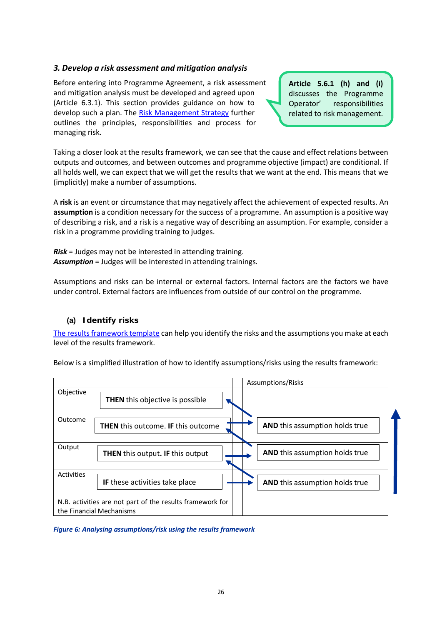### *3. Develop a risk assessment and mitigation analysis*

Before entering into Programme Agreement, a risk assessment and mitigation analysis must be developed and agreed upon (Article 6.3.1). This section provides guidance on how to develop such a plan. The [Risk Management Strategy](https://eeagrants.org/resources/2014-2021-risk-management-strategy) further outlines the principles, responsibilities and process for managing risk.

**Article 5.6.1 (h) and (i)** discusses the Programme Operator' responsibilities related to risk management.

Taking a closer look at the results framework, we can see that the cause and effect relations between outputs and outcomes, and between outcomes and programme objective (impact) are conditional. If all holds well, we can expect that we will get the results that we want at the end. This means that we (implicitly) make a number of assumptions.

A **risk** is an event or circumstance that may negatively affect the achievement of expected results. An **assumption** is a condition necessary for the success of a programme. An assumption is a positive way of describing a risk, and a risk is a negative way of describing an assumption. For example, consider a risk in a programme providing training to judges.

*Risk* = Judges may not be interested in attending training. *Assumption* = Judges will be interested in attending trainings.

Assumptions and risks can be internal or external factors. Internal factors are the factors we have under control. External factors are influences from outside of our control on the programme.

### **(a) Identify risks**

[The results framework template](https://efta.sharepoint.com/sites/FMOResultsandEvaluationUnit/RE%20Guides%20%20Strategies/Results%20Guideline%20REVISED%202021_track%20changes.docx#_2._RMandatory_results) can help you identify the risks and the assumptions you make at each level of the results framework.

Below is a simplified illustration of how to identify assumptions/risks using the results framework:

|                   |                                                                                       | Assumptions/Risks                     |
|-------------------|---------------------------------------------------------------------------------------|---------------------------------------|
| Objective         | <b>THEN</b> this objective is possible                                                |                                       |
| Outcome           | <b>THEN</b> this outcome. IF this outcome                                             | <b>AND</b> this assumption holds true |
| Output            | <b>THEN</b> this output. IF this output                                               | <b>AND</b> this assumption holds true |
| <b>Activities</b> | <b>IF</b> these activities take place                                                 | AND this assumption holds true        |
|                   | N.B. activities are not part of the results framework for<br>the Financial Mechanisms |                                       |

*Figure 6: Analysing assumptions/risk using the results framework*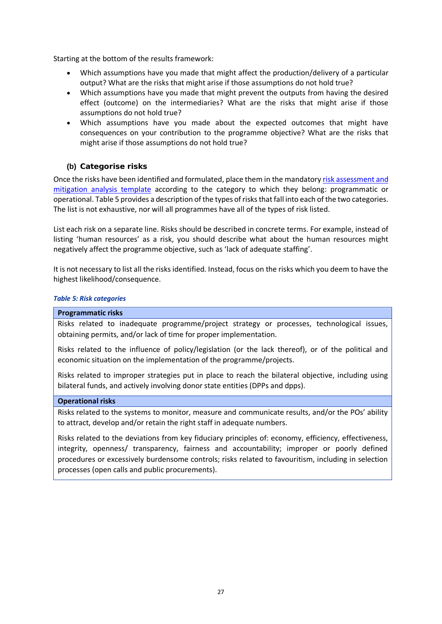Starting at the bottom of the results framework:

- Which assumptions have you made that might affect the production/delivery of a particular output? What are the risks that might arise if those assumptions do not hold true?
- Which assumptions have you made that might prevent the outputs from having the desired effect (outcome) on the intermediaries? What are the risks that might arise if those assumptions do not hold true?
- Which assumptions have you made about the expected outcomes that might have consequences on your contribution to the programme objective? What are the risks that might arise if those assumptions do not hold true?

### **(b) Categorise risks**

Once the risks have been identified and formulated, place them in the mandatory [risk assessment and](https://efta.sharepoint.com/sites/FMOResultsandEvaluationUnit/RE%20Guides%20%20Strategies/Results%20Guideline%20REVISED%202021_track%20changes.docx#_4._Mandatory_risk)  [mitigation analysis template](https://efta.sharepoint.com/sites/FMOResultsandEvaluationUnit/RE%20Guides%20%20Strategies/Results%20Guideline%20REVISED%202021_track%20changes.docx#_4._Mandatory_risk) according to the category to which they belong: programmatic or operational. Table 5 provides a description of the types of risks that fall into each of the two categories. The list is not exhaustive, nor will all programmes have all of the types of risk listed.

List each risk on a separate line. Risks should be described in concrete terms. For example, instead of listing 'human resources' as a risk, you should describe what about the human resources might negatively affect the programme objective, such as 'lack of adequate staffing'.

It is not necessary to list all the risks identified. Instead, focus on the risks which you deem to have the highest likelihood/consequence.

### *Table 5: Risk categories*

#### **Programmatic risks**

Risks related to inadequate programme/project strategy or processes, technological issues, obtaining permits, and/or lack of time for proper implementation.

Risks related to the influence of policy/legislation (or the lack thereof), or of the political and economic situation on the implementation of the programme/projects.

Risks related to improper strategies put in place to reach the bilateral objective, including using bilateral funds, and actively involving donor state entities (DPPs and dpps).

#### **Operational risks**

Risks related to the systems to monitor, measure and communicate results, and/or the POs' ability to attract, develop and/or retain the right staff in adequate numbers.

Risks related to the deviations from key fiduciary principles of: economy, efficiency, effectiveness, integrity, openness/ transparency, fairness and accountability; improper or poorly defined procedures or excessively burdensome controls; risks related to favouritism, including in selection processes (open calls and public procurements).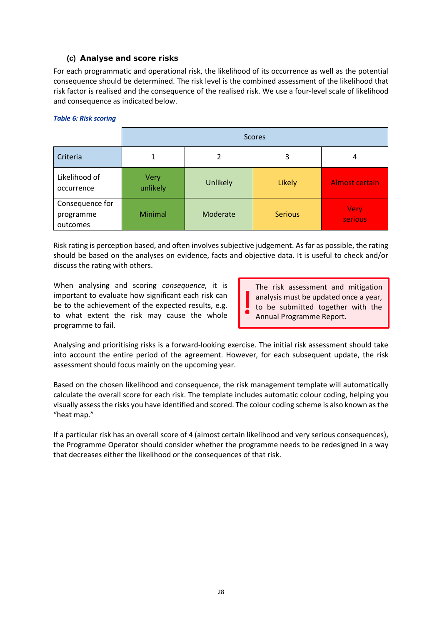### **(c) Analyse and score risks**

For each programmatic and operational risk, the likelihood of its occurrence as well as the potential consequence should be determined. The risk level is the combined assessment of the likelihood that risk factor is realised and the consequence of the realised risk. We use a four-level scale of likelihood and consequence as indicated below.

#### *Table 6: Risk scoring*

|                                          | <b>Scores</b>    |          |                |                        |  |
|------------------------------------------|------------------|----------|----------------|------------------------|--|
| Criteria                                 | 1                | 3<br>2   |                | 4                      |  |
| Likelihood of<br>occurrence              | Very<br>unlikely | Unlikely | Likely         | <b>Almost certain</b>  |  |
| Consequence for<br>programme<br>outcomes | Minimal          | Moderate | <b>Serious</b> | <b>Very</b><br>serious |  |

Risk rating is perception based, and often involves subjective judgement. As far as possible, the rating should be based on the analyses on evidence, facts and objective data. It is useful to check and/or discuss the rating with others.

When analysing and scoring *consequence*, it is important to evaluate how significant each risk can be to the achievement of the expected results, e.g. to what extent the risk may cause the whole programme to fail.

The risk assessment and mitigation analysis must be updated once a year, to be submitted together with the Annual Programme Report.

Analysing and prioritising risks is a forward-looking exercise. The initial risk assessment should take into account the entire period of the agreement. However, for each subsequent update, the risk assessment should focus mainly on the upcoming year.

Based on the chosen likelihood and consequence, the risk management template will automatically calculate the overall score for each risk. The template includes automatic colour coding, helping you visually assess the risks you have identified and scored. The colour coding scheme is also known as the "heat map."

If a particular risk has an overall score of 4 (almost certain likelihood and very serious consequences), the Programme Operator should consider whether the programme needs to be redesigned in a way that decreases either the likelihood or the consequences of that risk.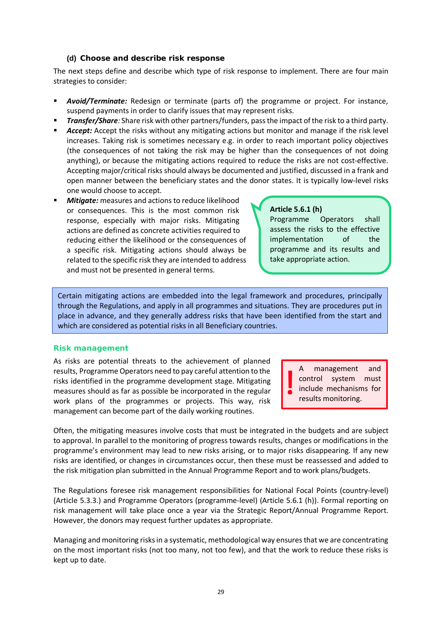### **(d) Choose and describe risk response**

The next steps define and describe which type of risk response to implement. There are four main strategies to consider:

- *Avoid/Terminate:* Redesign or terminate (parts of) the programme or project. For instance, suspend payments in order to clarify issues that may represent risks.
- *Transfer/Share:* Share risk with other partners/funders, pass the impact of the risk to a third party.
- Accept: Accept the risks without any mitigating actions but monitor and manage if the risk level increases. Taking risk is sometimes necessary e.g. in order to reach important policy objectives (the consequences of not taking the risk may be higher than the consequences of not doing anything), or because the mitigating actions required to reduce the risks are not cost-effective. Accepting major/critical risks should always be documented and justified, discussed in a frank and open manner between the beneficiary states and the donor states. It is typically low-level risks one would choose to accept.
- *Mitigate:* measures and actions to reduce likelihood or consequences. This is the most common risk response, especially with major risks. Mitigating actions are defined as concrete activities required to reducing either the likelihood or the consequences of a specific risk. Mitigating actions should always be related to the specific risk they are intended to address and must not be presented in general terms.

### **Article 5.6.1 (h)**

Programme Operators shall assess the risks to the effective implementation of the programme and its results and take appropriate action.

Certain mitigating actions are embedded into the legal framework and procedures, principally through the Regulations, and apply in all programmes and situations. They are procedures put in place in advance, and they generally address risks that have been identified from the start and which are considered as potential risks in all Beneficiary countries.

### *Risk management*

As risks are potential threats to the achievement of planned results, Programme Operators need to pay careful attention to the risks identified in the programme development stage. Mitigating measures should as far as possible be incorporated in the regular work plans of the programmes or projects. This way, risk management can become part of the daily working routines.

A management and control system must include mechanisms for results monitoring.

Often, the mitigating measures involve costs that must be integrated in the budgets and are subject to approval. In parallel to the monitoring of progress towards results, changes or modifications in the programme's environment may lead to new risks arising, or to major risks disappearing. If any new risks are identified, or changes in circumstances occur, then these must be reassessed and added to the risk mitigation plan submitted in the Annual Programme Report and to work plans/budgets.

The Regulations foresee risk management responsibilities for National Focal Points (country-level) (Article 5.3.3.) and Programme Operators (programme-level) (Article 5.6.1 (h)). Formal reporting on risk management will take place once a year via the Strategic Report/Annual Programme Report. However, the donors may request further updates as appropriate.

Managing and monitoring risks in a systematic, methodological way ensures that we are concentrating on the most important risks (not too many, not too few), and that the work to reduce these risks is kept up to date.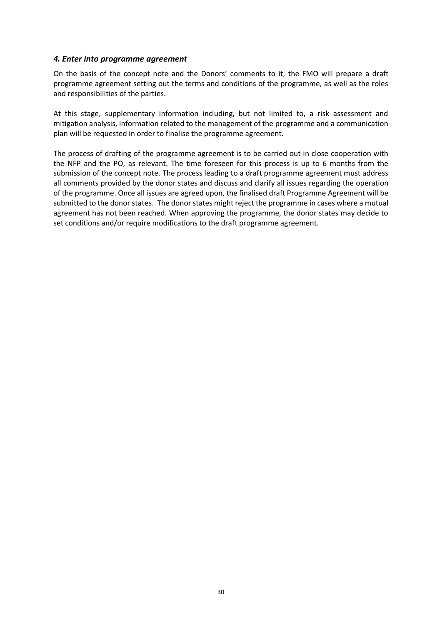### *4. Enter into programme agreement*

On the basis of the concept note and the Donors' comments to it, the FMO will prepare a draft programme agreement setting out the terms and conditions of the programme, as well as the roles and responsibilities of the parties.

At this stage, supplementary information including, but not limited to, a risk assessment and mitigation analysis, information related to the management of the programme and a communication plan will be requested in order to finalise the programme agreement.

The process of drafting of the programme agreement is to be carried out in close cooperation with the NFP and the PO, as relevant. The time foreseen for this process is up to 6 months from the submission of the concept note. The process leading to a draft programme agreement must address all comments provided by the donor states and discuss and clarify all issues regarding the operation of the programme. Once all issues are agreed upon, the finalised draft Programme Agreement will be submitted to the donor states. The donor states might reject the programme in cases where a mutual agreement has not been reached. When approving the programme, the donor states may decide to set conditions and/or require modifications to the draft programme agreement.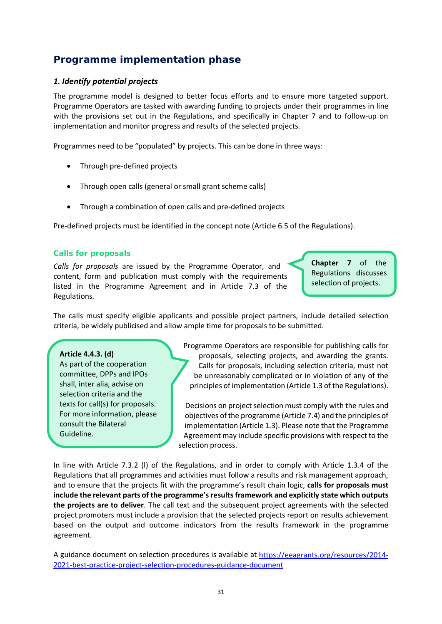### *Programme implementation phase*

### *1. Identify potential projects*

The programme model is designed to better focus efforts and to ensure more targeted support. Programme Operators are tasked with awarding funding to projects under their programmes in line with the provisions set out in the Regulations, and specifically in Chapter 7 and to follow-up on implementation and monitor progress and results of the selected projects.

Programmes need to be "populated" by projects. This can be done in three ways:

- Through pre-defined projects
- Through open calls (general or small grant scheme calls)
- Through a combination of open calls and pre-defined projects

Pre-defined projects must be identified in the concept note (Article 6.5 of the Regulations).

### *Calls for proposals*

*Calls for proposals* are issued by the Programme Operator, and content, form and publication must comply with the requirements listed in the Programme Agreement and in Article 7.3 of the Regulations.

**Chapter 7** of the Regulations discusses selection of projects.

The calls must specify eligible applicants and possible project partners, include detailed selection criteria, be widely publicised and allow ample time for proposals to be submitted.

### **Article 4.4.3. (d)**

As part of the cooperation committee, DPPs and IPOs shall, inter alia, advise on selection criteria and the texts for call(s) for proposals. For more information, please consult the Bilateral Guideline.

Programme Operators are responsible for publishing calls for proposals, selecting projects, and awarding the grants. Calls for proposals, including selection criteria, must not be unreasonably complicated or in violation of any of the principles of implementation (Article 1.3 of the Regulations).

Decisions on project selection must comply with the rules and objectives of the programme (Article 7.4) and the principles of implementation (Article 1.3). Please note that the Programme Agreement may include specific provisions with respect to the selection process.

In line with Article 7.3.2 (l) of the Regulations, and in order to comply with Article 1.3.4 of the Regulations that all programmes and activities must follow a results and risk management approach, and to ensure that the projects fit with the programme's result chain logic, **calls for proposals must include the relevant parts of the programme's results framework and explicitly state which outputs the projects are to deliver**. The call text and the subsequent project agreements with the selected project promoters must include a provision that the selected projects report on results achievement based on the output and outcome indicators from the results framework in the programme agreement.

A guidance document on selection procedures is available at [https://eeagrants.org/resources/2014-](https://eeagrants.org/resources/2014-2021-best-practice-project-selection-procedures-guidance-document) [2021-best-practice-project-selection-procedures-guidance-document](https://eeagrants.org/resources/2014-2021-best-practice-project-selection-procedures-guidance-document)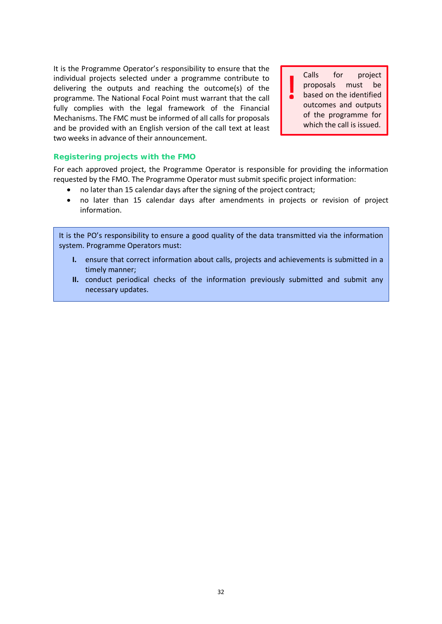It is the Programme Operator's responsibility to ensure that the individual projects selected under a programme contribute to delivering the outputs and reaching the outcome(s) of the programme. The National Focal Point must warrant that the call fully complies with the legal framework of the Financial Mechanisms. The FMC must be informed of all calls for proposals and be provided with an English version of the call text at least two weeks in advance of their announcement.

Calls for project proposals must be based on the identified outcomes and outputs of the programme for which the call is issued.

### *Registering projects with the FMO*

For each approved project, the Programme Operator is responsible for providing the information requested by the FMO. The Programme Operator must submit specific project information:

- no later than 15 calendar days after the signing of the project contract;
- no later than 15 calendar days after amendments in projects or revision of project information.

It is the PO's responsibility to ensure a good quality of the data transmitted via the information system. Programme Operators must:

- **I.** ensure that correct information about calls, projects and achievements is submitted in a timely manner;
- **II.** conduct periodical checks of the information previously submitted and submit any necessary updates.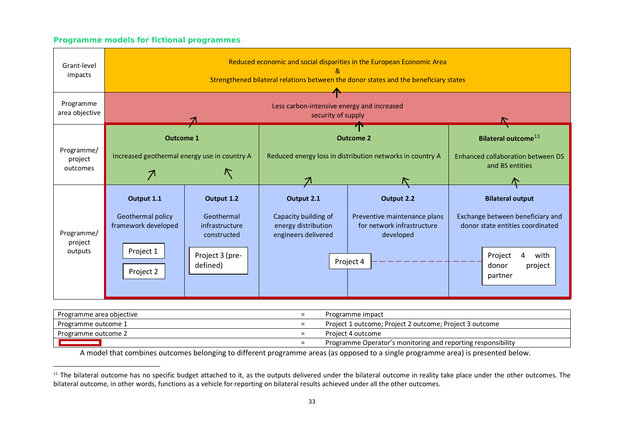### <span id="page-34-0"></span>*Programme models for fictional programmes*

| Grant-level                       | Reduced economic and social disparities in the European Economic Area                |                                                                                          |                                                                                  |                                                                                                    |                                                                                                                                                        |  |
|-----------------------------------|--------------------------------------------------------------------------------------|------------------------------------------------------------------------------------------|----------------------------------------------------------------------------------|----------------------------------------------------------------------------------------------------|--------------------------------------------------------------------------------------------------------------------------------------------------------|--|
| impacts                           | Strengthened bilateral relations between the donor states and the beneficiary states |                                                                                          |                                                                                  |                                                                                                    |                                                                                                                                                        |  |
| Programme                         | Less carbon-intensive energy and increased                                           |                                                                                          |                                                                                  |                                                                                                    |                                                                                                                                                        |  |
| area objective                    | security of supply                                                                   |                                                                                          |                                                                                  |                                                                                                    |                                                                                                                                                        |  |
| Programme/<br>project<br>outcomes | <b>Outcome 1</b><br>Increased geothermal energy use in country A<br>$\mathcal{P}$    |                                                                                          | <b>Outcome 2</b><br>Reduced energy loss in distribution networks in country A    |                                                                                                    | Bilateral outcome <sup>11</sup><br>Enhanced collaboration between DS<br>and BS entities                                                                |  |
| Programme/<br>project<br>outputs  | Output 1.1<br>Geothermal policy<br>framework developed<br>Project 1<br>Project 2     | Output 1.2<br>Geothermal<br>infrastructure<br>constructed<br>Project 3 (pre-<br>defined) | Output 2.1<br>Capacity building of<br>energy distribution<br>engineers delivered | Output 2.2<br>Preventive maintenance plans<br>for network infrastructure<br>developed<br>Project 4 | <b>Bilateral output</b><br>Exchange between beneficiary and<br>donor state entities coordinated<br>Project<br>with<br>4<br>donor<br>project<br>partner |  |

| Programme area objective | Programme impact                                             |
|--------------------------|--------------------------------------------------------------|
| Programme outcome 1      | Project 1 outcome; Project 2 outcome; Project 3 outcome      |
| Programme outcome 2      | Project 4 outcome                                            |
|                          | Programme Operator's monitoring and reporting responsibility |

A model that combines outcomes belonging to different programme areas (as opposed to a single programme area) is presented below.

<sup>&</sup>lt;sup>11</sup> The bilateral outcome has no specific budget attached to it, as the outputs delivered under the bilateral outcome in reality take place under the other outcomes. The bilateral outcome, in other words, functions as a vehicle for reporting on bilateral results achieved under all the other outcomes.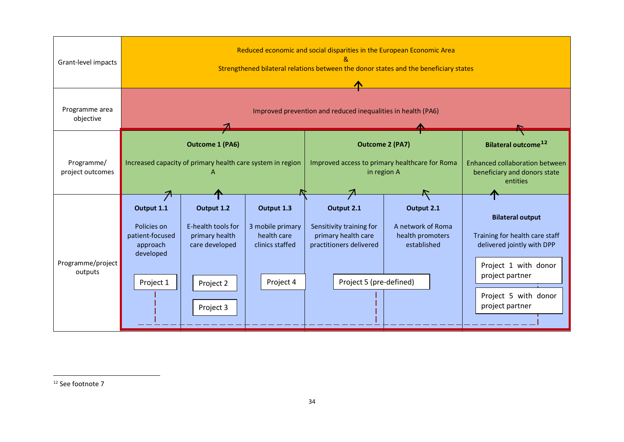<span id="page-35-0"></span>

| Grant-level impacts            | Reduced economic and social disparities in the European Economic Area<br>Strengthened bilateral relations between the donor states and the beneficiary states |                                                                                                |                                                                                         |                                                                                                                     |                                                                    |                                                                                                                                                                               |  |  |
|--------------------------------|---------------------------------------------------------------------------------------------------------------------------------------------------------------|------------------------------------------------------------------------------------------------|-----------------------------------------------------------------------------------------|---------------------------------------------------------------------------------------------------------------------|--------------------------------------------------------------------|-------------------------------------------------------------------------------------------------------------------------------------------------------------------------------|--|--|
| Programme area<br>objective    |                                                                                                                                                               | Improved prevention and reduced inequalities in health (PA6)                                   |                                                                                         |                                                                                                                     |                                                                    |                                                                                                                                                                               |  |  |
| Programme/<br>project outcomes | <b>Outcome 1 (PA6)</b><br>Increased capacity of primary health care system in region                                                                          |                                                                                                | <b>Outcome 2 (PA7)</b><br>Improved access to primary healthcare for Roma<br>in region A | Bilateral outcome <sup>12</sup><br>Enhanced collaboration between<br>beneficiary and donors state<br>entities       |                                                                    |                                                                                                                                                                               |  |  |
| Programme/project<br>outputs   | Output 1.1<br>Policies on<br>patient-focused<br>approach<br>developed<br>Project 1                                                                            | Output 1.2<br>E-health tools for<br>primary health<br>care developed<br>Project 2<br>Project 3 | Output 1.3<br>3 mobile primary<br>health care<br>clinics staffed<br>Project 4           | Output 2.1<br>Sensitivity training for<br>primary health care<br>practitioners delivered<br>Project 5 (pre-defined) | Output 2.1<br>A network of Roma<br>health promoters<br>established | <b>Bilateral output</b><br>Training for health care staff<br>delivered jointly with DPP<br>Project 1 with donor<br>project partner<br>Project 5 with donor<br>project partner |  |  |

<sup>12</sup> See footnote 7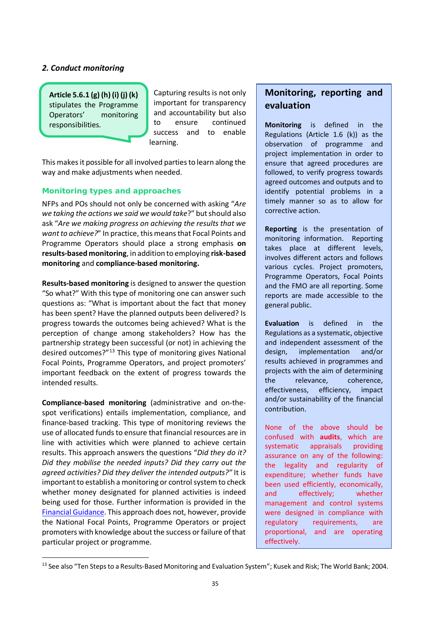### *2. Conduct monitoring*

**Article 5.6.1 (g) (h) (i) (j) (k)** stipulates the Programme Operators' monitoring responsibilities.

Capturing results is not only important for transparency and accountability but also to ensure continued success and to enable learning.

This makes it possible for all involved parties to learn along the way and make adjustments when needed.

### *Monitoring types and approaches*

NFPs and POs should not only be concerned with asking "*Are we taking the actions we said we would take*?" but should also ask "*Are we making progress on achieving the results that we want to achieve?*" In practice, this means that Focal Points and Programme Operators should place a strong emphasis **on results-based monitoring**, in addition to employing **risk-based monitoring** and **compliance-based monitoring.** 

**Results-based monitoring** is designed to answer the question "So what?" With this type of monitoring one can answer such questions as: "What is important about the fact that money has been spent? Have the planned outputs been delivered? Is progress towards the outcomes being achieved? What is the perception of change among stakeholders? How has the partnership strategy been successful (or not) in achieving the desired outcomes?"[13](#page-36-0) This type of monitoring gives National Focal Points, Programme Operators, and project promoters' important feedback on the extent of progress towards the intended results.

**Compliance-based monitoring** (administrative and on-thespot verifications) entails implementation, compliance, and finance-based tracking. This type of monitoring reviews the use of allocated funds to ensure that financial resources are in line with activities which were planned to achieve certain results. This approach answers the questions "*Did they do it? Did they mobilise the needed inputs? Did they carry out the agreed activities? Did they deliver the intended outputs?"* It is important to establish a monitoring or control system to check whether money designated for planned activities is indeed being used for those. Further information is provided in the [Financial Guidance.](https://eeagrants.org/resources/2014-2021-financial-guidance) This approach does not, however, provide the National Focal Points, Programme Operators or project promoters with knowledge about the success or failure of that particular project or programme.

### **Monitoring, reporting and evaluation**

**Monitoring** is defined in the Regulations (Article 1.6 (k)) as the observation of programme and project implementation in order to ensure that agreed procedures are followed, to verify progress towards agreed outcomes and outputs and to identify potential problems in a timely manner so as to allow for corrective action.

**Reporting** is the presentation of monitoring information. Reporting takes place at different levels, involves different actors and follows various cycles. Project promoters, Programme Operators, Focal Points and the FMO are all reporting. Some reports are made accessible to the general public.

**Evaluation** is defined in the Regulations as a systematic, objective and independent assessment of the design, implementation and/or results achieved in programmes and projects with the aim of determining the relevance, coherence, effectiveness, efficiency, impact and/or sustainability of the financial contribution.

None of the above should be confused with **audits**, which are systematic appraisals providing assurance on any of the following: the legality and regularity of expenditure; whether funds have been used efficiently, economically, and effectively; whether management and control systems were designed in compliance with regulatory requirements, are proportional, and are operating effectively.

<span id="page-36-0"></span><sup>&</sup>lt;sup>13</sup> See also "Ten Steps to a Results-Based Monitoring and Evaluation System"; Kusek and Risk; The World Bank; 2004.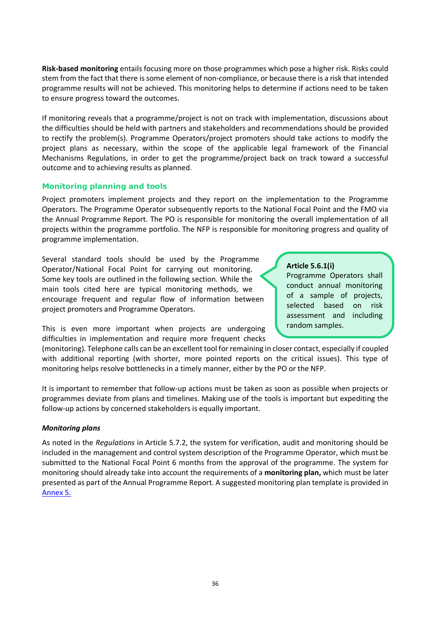**Risk-based monitoring** entails focusing more on those programmes which pose a higher risk. Risks could stem from the fact that there is some element of non-compliance, or because there is a risk that intended programme results will not be achieved. This monitoring helps to determine if actions need to be taken to ensure progress toward the outcomes.

If monitoring reveals that a programme/project is not on track with implementation, discussions about the difficulties should be held with partners and stakeholders and recommendations should be provided to rectify the problem(s). Programme Operators/project promoters should take actions to modify the project plans as necessary, within the scope of the applicable legal framework of the Financial Mechanisms Regulations, in order to get the programme/project back on track toward a successful outcome and to achieving results as planned.

### *Monitoring planning and tools*

Project promoters implement projects and they report on the implementation to the Programme Operators. The Programme Operator subsequently reports to the National Focal Point and the FMO via the Annual Programme Report. The PO is responsible for monitoring the overall implementation of all projects within the programme portfolio. The NFP is responsible for monitoring progress and quality of programme implementation.

Several standard tools should be used by the Programme Operator/National Focal Point for carrying out monitoring. Some key tools are outlined in the following section. While the main tools cited here are typical monitoring methods, we encourage frequent and regular flow of information between project promoters and Programme Operators.

This is even more important when projects are undergoing difficulties in implementation and require more frequent checks

### **Article 5.6.1(i)**

Programme Operators shall conduct annual monitoring of a sample of projects, selected based on risk assessment and including random samples.

(monitoring). Telephone calls can be an excellent tool for remaining in closer contact, especially if coupled with additional reporting (with shorter, more pointed reports on the critical issues). This type of monitoring helps resolve bottlenecks in a timely manner, either by the PO or the NFP.

It is important to remember that follow-up actions must be taken as soon as possible when projects or programmes deviate from plans and timelines. Making use of the tools is important but expediting the follow-up actions by concerned stakeholders is equally important.

### *Monitoring plans*

As noted in the *Regulations* in Article 5.7.2, the system for verification, audit and monitoring should be included in the management and control system description of the Programme Operator, which must be submitted to the National Focal Point 6 months from the approval of the programme. The system for monitoring should already take into account the requirements of a **monitoring plan,** which must be later presented as part of the Annual Programme Report. A suggested monitoring plan template is provided in [Annex 5.](https://efta.sharepoint.com/sites/FMOResultsandEvaluationUnit/RE%20Guides%20%20Strategies/Results%20Guideline%20REVISED%202021_track%20changes.docx#_5._Monitoring_plan)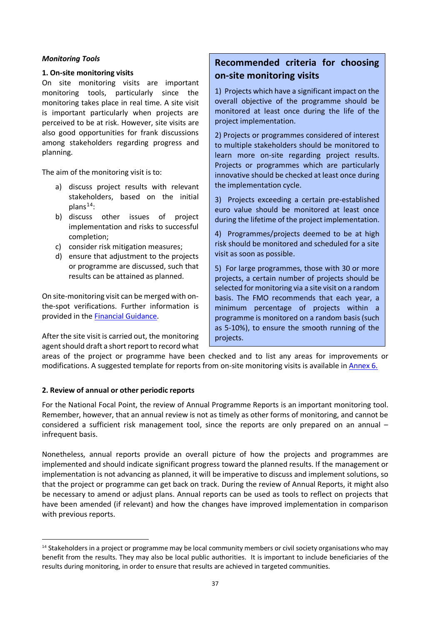### *Monitoring Tools*

### **1. On-site monitoring visits**

On site monitoring visits are important monitoring tools, particularly since the monitoring takes place in real time. A site visit is important particularly when projects are perceived to be at risk. However, site visits are also good opportunities for frank discussions among stakeholders regarding progress and planning.

The aim of the monitoring visit is to:

- a) discuss project results with relevant stakeholders, based on the initial  $plans<sup>14</sup>$  $plans<sup>14</sup>$  $plans<sup>14</sup>$ :
- b) discuss other issues of project implementation and risks to successful completion;
- c) consider risk mitigation measures;
- d) ensure that adjustment to the projects or programme are discussed, such that results can be attained as planned.

On site-monitoring visit can be merged with onthe-spot verifications. Further information is provided in the [Financial Guidance.](https://eeagrants.org/resources/2014-2021-financial-guidance)

After the site visit is carried out, the monitoring agent should draft a short report to record what

### **Recommended criteria for choosing on-site monitoring visits**

1) Projects which have a significant impact on the overall objective of the programme should be monitored at least once during the life of the project implementation.

2) Projects or programmes considered of interest to multiple stakeholders should be monitored to learn more on-site regarding project results. Projects or programmes which are particularly innovative should be checked at least once during the implementation cycle.

3) Projects exceeding a certain pre-established euro value should be monitored at least once during the lifetime of the project implementation.

4) Programmes/projects deemed to be at high risk should be monitored and scheduled for a site visit as soon as possible.

5) For large programmes, those with 30 or more projects, a certain number of projects should be selected for monitoring via a site visit on a random basis. The FMO recommends that each year, a minimum percentage of projects within a programme is monitored on a random basis (such as 5-10%), to ensure the smooth running of the projects.

areas of the project or programme have been checked and to list any areas for improvements or modifications. A suggested template for reports from on-site monitoring visits is available in [Annex 6.](https://efta.sharepoint.com/sites/FMOResultsandEvaluationUnit/RE%20Guides%20%20Strategies/Results%20Guideline%20REVISED%202021_track%20changes.docx#_6._Monitoring_Report)

### **2. Review of annual or other periodic reports**

For the National Focal Point, the review of Annual Programme Reports is an important monitoring tool. Remember, however, that an annual review is not as timely as other forms of monitoring, and cannot be considered a sufficient risk management tool, since the reports are only prepared on an annual – infrequent basis.

Nonetheless, annual reports provide an overall picture of how the projects and programmes are implemented and should indicate significant progress toward the planned results. If the management or implementation is not advancing as planned, it will be imperative to discuss and implement solutions, so that the project or programme can get back on track. During the review of Annual Reports, it might also be necessary to amend or adjust plans. Annual reports can be used as tools to reflect on projects that have been amended (if relevant) and how the changes have improved implementation in comparison with previous reports.

<span id="page-38-0"></span><sup>&</sup>lt;sup>14</sup> Stakeholders in a project or programme may be local community members or civil society organisations who may benefit from the results. They may also be local public authorities. It is important to include beneficiaries of the results during monitoring, in order to ensure that results are achieved in targeted communities.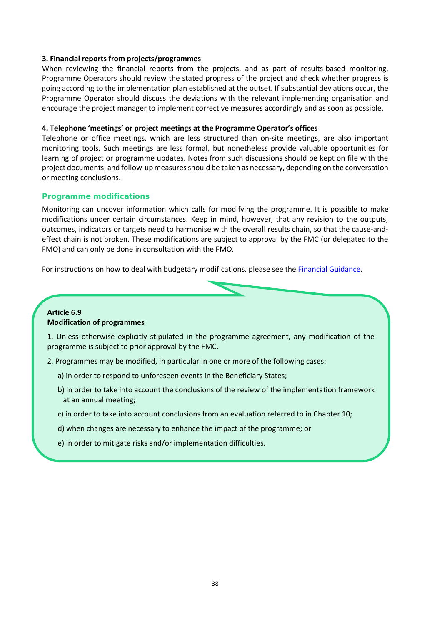### **3. Financial reports from projects/programmes**

When reviewing the financial reports from the projects, and as part of results-based monitoring, Programme Operators should review the stated progress of the project and check whether progress is going according to the implementation plan established at the outset. If substantial deviations occur, the Programme Operator should discuss the deviations with the relevant implementing organisation and encourage the project manager to implement corrective measures accordingly and as soon as possible.

### **4. Telephone 'meetings' or project meetings at the Programme Operator's offices**

Telephone or office meetings, which are less structured than on-site meetings, are also important monitoring tools. Such meetings are less formal, but nonetheless provide valuable opportunities for learning of project or programme updates. Notes from such discussions should be kept on file with the project documents, and follow-up measures should be taken as necessary, depending on the conversation or meeting conclusions.

#### *Programme modifications*

Monitoring can uncover information which calls for modifying the programme. It is possible to make modifications under certain circumstances. Keep in mind, however, that any revision to the outputs, outcomes, indicators or targets need to harmonise with the overall results chain, so that the cause-andeffect chain is not broken. These modifications are subject to approval by the FMC (or delegated to the FMO) and can only be done in consultation with the FMO.

For instructions on how to deal with budgetary modifications, please see th[e Financial Guidance.](https://eeagrants.org/resources/2014-2021-financial-guidance)

### **Article 6.9 Modification of programmes**

1. Unless otherwise explicitly stipulated in the programme agreement, any modification of the programme is subject to prior approval by the FMC.

- 2. Programmes may be modified, in particular in one or more of the following cases:
	- a) in order to respond to unforeseen events in the Beneficiary States;
	- b) in order to take into account the conclusions of the review of the implementation framework at an annual meeting;
	- c) in order to take into account conclusions from an evaluation referred to in Chapter 10;
	- d) when changes are necessary to enhance the impact of the programme; or
	- e) in order to mitigate risks and/or implementation difficulties.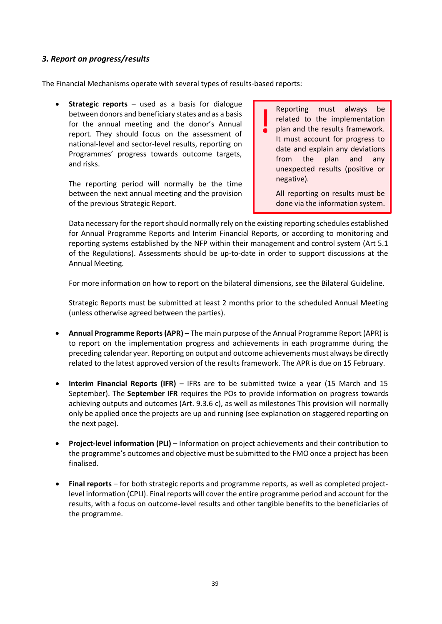### *3. Report on progress/results*

The Financial Mechanisms operate with several types of results-based reports:

• **Strategic reports** – used as a basis for dialogue between donors and beneficiary states and as a basis for the annual meeting and the donor's Annual report. They should focus on the assessment of national-level and sector-level results, reporting on Programmes' progress towards outcome targets, and risks.

The reporting period will normally be the time between the next annual meeting and the provision of the previous Strategic Report.

Reporting must always be related to the implementation plan and the results framework. It must account for progress to date and explain any deviations from the plan and any unexpected results (positive or negative).

All reporting on results must be done via the information system.

Data necessary for the report should normally rely on the existing reporting schedules established for Annual Programme Reports and Interim Financial Reports, or according to monitoring and reporting systems established by the NFP within their management and control system (Art 5.1 of the Regulations). Assessments should be up-to-date in order to support discussions at the Annual Meeting.

For more information on how to report on the bilateral dimensions, see the Bilateral Guideline.

Strategic Reports must be submitted at least 2 months prior to the scheduled Annual Meeting (unless otherwise agreed between the parties).

- **Annual Programme Reports (APR)** The main purpose of the Annual Programme Report (APR) is to report on the implementation progress and achievements in each programme during the preceding calendar year. Reporting on output and outcome achievements must always be directly related to the latest approved version of the results framework. The APR is due on 15 February.
- **Interim Financial Reports (IFR)**  IFRs are to be submitted twice a year (15 March and 15 September). The **September IFR** requires the POs to provide information on progress towards achieving outputs and outcomes (Art. 9.3.6 c), as well as milestones This provision will normally only be applied once the projects are up and running (see explanation on staggered reporting on the next page).
- **Project-level information (PLI)** Information on project achievements and their contribution to the programme's outcomes and objective must be submitted to the FMO once a project has been finalised.
- **Final reports** for both strategic reports and programme reports, as well as completed projectlevel information (CPLI). Final reports will cover the entire programme period and account for the results, with a focus on outcome-level results and other tangible benefits to the beneficiaries of the programme.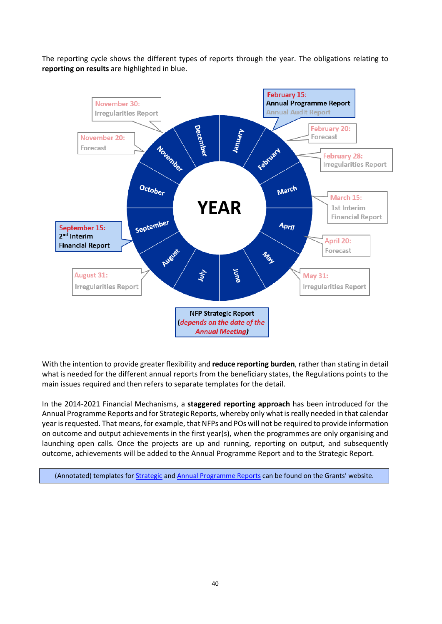The reporting cycle shows the different types of reports through the year. The obligations relating to **reporting on results** are highlighted in blue.



With the intention to provide greater flexibility and **reduce reporting burden**, rather than stating in detail what is needed for the different annual reports from the beneficiary states, the Regulations points to the main issues required and then refers to separate templates for the detail.

In the 2014-2021 Financial Mechanisms, a **staggered reporting approach** has been introduced for the Annual Programme Reports and for Strategic Reports, whereby only what is really needed in that calendar year is requested. That means, for example, that NFPs and POs will not be required to provide information on outcome and output achievements in the first year(s), when the programmes are only organising and launching open calls. Once the projects are up and running, reporting on output, and subsequently outcome, achievements will be added to the Annual Programme Report and to the Strategic Report.

(Annotated) templates fo[r Strategic](https://eeagrants.org/resources/eea-and-norway-grants-2014-2021-annotated-strategic-report-template) an[d Annual Programme Reports](https://eeagrants.org/resources/eea-and-norway-grants-2014-2021-annotated-annual-programme-report-template) can be found on the Grants' website.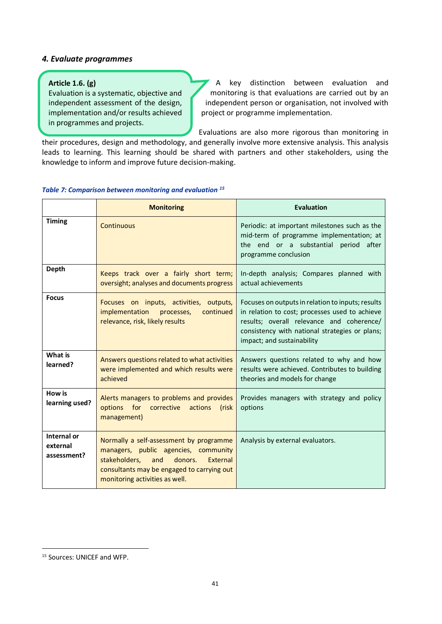### *4. Evaluate programmes*

### **Article 1.6. (g)**

Evaluation is a systematic, objective and independent assessment of the design, implementation and/or results achieved in programmes and projects.

A key distinction between evaluation and monitoring is that evaluations are carried out by an independent person or organisation, not involved with project or programme implementation.

Evaluations are also more rigorous than monitoring in their procedures, design and methodology, and generally involve more extensive analysis. This analysis

leads to learning. This learning should be shared with partners and other stakeholders, using the knowledge to inform and improve future decision-making.

### *Table 7: Comparison between monitoring and evaluation [15](#page-42-0)*

|                                        | <b>Monitoring</b>                                                                                                                                                                                              | <b>Evaluation</b>                                                                                                                                                                                                                |
|----------------------------------------|----------------------------------------------------------------------------------------------------------------------------------------------------------------------------------------------------------------|----------------------------------------------------------------------------------------------------------------------------------------------------------------------------------------------------------------------------------|
| <b>Timing</b>                          | Continuous                                                                                                                                                                                                     | Periodic: at important milestones such as the<br>mid-term of programme implementation; at<br>the end or a substantial period after<br>programme conclusion                                                                       |
| <b>Depth</b>                           | Keeps track over a fairly short term;<br>oversight; analyses and documents progress                                                                                                                            | In-depth analysis; Compares planned with<br>actual achievements                                                                                                                                                                  |
| <b>Focus</b>                           | Focuses on inputs, activities, outputs,<br>implementation<br>continued<br>processes,<br>relevance, risk, likely results                                                                                        | Focuses on outputs in relation to inputs; results<br>in relation to cost; processes used to achieve<br>results; overall relevance and coherence/<br>consistency with national strategies or plans;<br>impact; and sustainability |
| What is<br>learned?                    | Answers questions related to what activities<br>were implemented and which results were<br>achieved                                                                                                            | Answers questions related to why and how<br>results were achieved. Contributes to building<br>theories and models for change                                                                                                     |
| How is<br>learning used?               | Alerts managers to problems and provides<br>for corrective<br>options<br>actions<br>(risk<br>management)                                                                                                       | Provides managers with strategy and policy<br>options                                                                                                                                                                            |
| Internal or<br>external<br>assessment? | Normally a self-assessment by programme<br>managers, public agencies, community<br>donors.<br>stakeholders.<br>and<br>External<br>consultants may be engaged to carrying out<br>monitoring activities as well. | Analysis by external evaluators.                                                                                                                                                                                                 |

<span id="page-42-0"></span><sup>15</sup> Sources: UNICEF and WFP.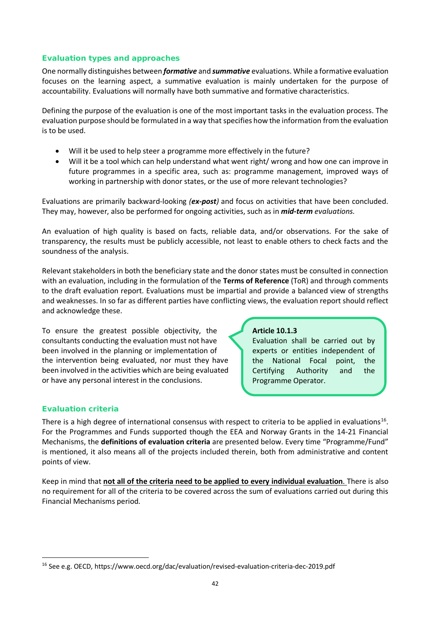### *Evaluation types and approaches*

One normally distinguishes between *formative* and *summative* evaluations. While a formative evaluation focuses on the learning aspect, a summative evaluation is mainly undertaken for the purpose of accountability. Evaluations will normally have both summative and formative characteristics.

Defining the purpose of the evaluation is one of the most important tasks in the evaluation process. The evaluation purpose should be formulated in a way that specifies how the information from the evaluation is to be used.

- Will it be used to help steer a programme more effectively in the future?
- Will it be a tool which can help understand what went right/ wrong and how one can improve in future programmes in a specific area, such as: programme management, improved ways of working in partnership with donor states, or the use of more relevant technologies?

Evaluations are primarily backward-looking *(ex-post)* and focus on activities that have been concluded. They may, however, also be performed for ongoing activities, such as in *mid-term evaluations.*

An evaluation of high quality is based on facts, reliable data, and/or observations. For the sake of transparency, the results must be publicly accessible, not least to enable others to check facts and the soundness of the analysis.

Relevant stakeholders in both the beneficiary state and the donor states must be consulted in connection with an evaluation, including in the formulation of the **Terms of Reference** (ToR) and through comments to the draft evaluation report. Evaluations must be impartial and provide a balanced view of strengths and weaknesses. In so far as different parties have conflicting views, the evaluation report should reflect and acknowledge these.

To ensure the greatest possible objectivity, the consultants conducting the evaluation must not have been involved in the planning or implementation of the intervention being evaluated, nor must they have been involved in the activities which are being evaluated or have any personal interest in the conclusions.

### **Article 10.1.3**

Evaluation shall be carried out by experts or entities independent of the National Focal point, the Certifying Authority and the Programme Operator.

### *Evaluation criteria*

There is a high degree of international consensus with respect to criteria to be applied in evaluations<sup>16</sup>. For the Programmes and Funds supported though the EEA and Norway Grants in the 14-21 Financial Mechanisms, the **definitions of evaluation criteria** are presented below. Every time "Programme/Fund" is mentioned, it also means all of the projects included therein, both from administrative and content points of view.

Keep in mind that **not all of the criteria need to be applied to every individual evaluation**. There is also no requirement for all of the criteria to be covered across the sum of evaluations carried out during this Financial Mechanisms period.

<span id="page-43-0"></span><sup>16</sup> See e.g. OECD, https://www.oecd.org/dac/evaluation/revised-evaluation-criteria-dec-2019.pdf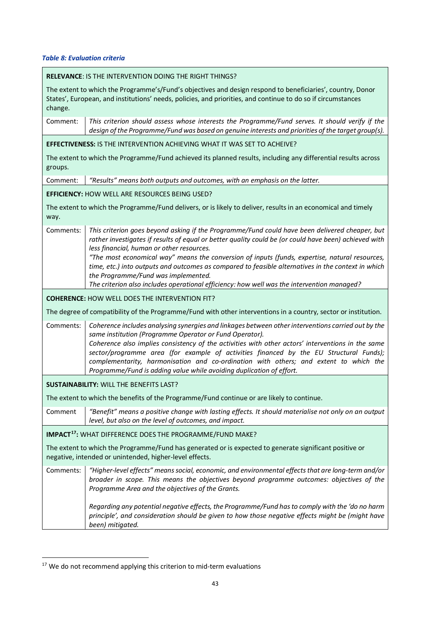*Table 8: Evaluation criteria*

|                                                       | <b>RELEVANCE: IS THE INTERVENTION DOING THE RIGHT THINGS?</b>                                                                                                                                                                                                                                                                                                                                                                                                                                                                 |  |  |  |  |
|-------------------------------------------------------|-------------------------------------------------------------------------------------------------------------------------------------------------------------------------------------------------------------------------------------------------------------------------------------------------------------------------------------------------------------------------------------------------------------------------------------------------------------------------------------------------------------------------------|--|--|--|--|
| change.                                               | The extent to which the Programme's/Fund's objectives and design respond to beneficiaries', country, Donor<br>States', European, and institutions' needs, policies, and priorities, and continue to do so if circumstances                                                                                                                                                                                                                                                                                                    |  |  |  |  |
| Comment:                                              | This criterion should assess whose interests the Programme/Fund serves. It should verify if the<br>design of the Programme/Fund was based on genuine interests and priorities of the target group(s).                                                                                                                                                                                                                                                                                                                         |  |  |  |  |
|                                                       | <b>EFFECTIVENESS: IS THE INTERVENTION ACHIEVING WHAT IT WAS SET TO ACHEIVE?</b>                                                                                                                                                                                                                                                                                                                                                                                                                                               |  |  |  |  |
| groups.                                               | The extent to which the Programme/Fund achieved its planned results, including any differential results across                                                                                                                                                                                                                                                                                                                                                                                                                |  |  |  |  |
| Comment:                                              | "Results" means both outputs and outcomes, with an emphasis on the latter.                                                                                                                                                                                                                                                                                                                                                                                                                                                    |  |  |  |  |
|                                                       | EFFICIENCY: HOW WELL ARE RESOURCES BEING USED?                                                                                                                                                                                                                                                                                                                                                                                                                                                                                |  |  |  |  |
| way.                                                  | The extent to which the Programme/Fund delivers, or is likely to deliver, results in an economical and timely                                                                                                                                                                                                                                                                                                                                                                                                                 |  |  |  |  |
| Comments:                                             | This criterion goes beyond asking if the Programme/Fund could have been delivered cheaper, but<br>rather investigates if results of equal or better quality could be (or could have been) achieved with<br>less financial, human or other resources.<br>"The most economical way" means the conversion of inputs (funds, expertise, natural resources,<br>time, etc.) into outputs and outcomes as compared to feasible alternatives in the context in which<br>the Programme/Fund was implemented.                           |  |  |  |  |
|                                                       | The criterion also includes operational efficiency: how well was the intervention managed?                                                                                                                                                                                                                                                                                                                                                                                                                                    |  |  |  |  |
| <b>COHERENCE: HOW WELL DOES THE INTERVENTION FIT?</b> |                                                                                                                                                                                                                                                                                                                                                                                                                                                                                                                               |  |  |  |  |
|                                                       | The degree of compatibility of the Programme/Fund with other interventions in a country, sector or institution.                                                                                                                                                                                                                                                                                                                                                                                                               |  |  |  |  |
| Comments:                                             | Coherence includes analysing synergies and linkages between other interventions carried out by the<br>same institution (Programme Operator or Fund Operator).<br>Coherence also implies consistency of the activities with other actors' interventions in the same<br>sector/programme area (for example of activities financed by the EU Structural Funds);<br>complementarity, harmonisation and co-ordination with others; and extent to which the<br>Programme/Fund is adding value while avoiding duplication of effort. |  |  |  |  |
|                                                       | <b>SUSTAINABILITY: WILL THE BENEFITS LAST?</b>                                                                                                                                                                                                                                                                                                                                                                                                                                                                                |  |  |  |  |
|                                                       | The extent to which the benefits of the Programme/Fund continue or are likely to continue                                                                                                                                                                                                                                                                                                                                                                                                                                     |  |  |  |  |
| Comment                                               | "Benefit" means a positive change with lasting effects. It should materialise not only on an output<br>level, but also on the level of outcomes, and impact.                                                                                                                                                                                                                                                                                                                                                                  |  |  |  |  |
|                                                       | IMPACT <sup>17</sup> : WHAT DIFFERENCE DOES THE PROGRAMME/FUND MAKE?                                                                                                                                                                                                                                                                                                                                                                                                                                                          |  |  |  |  |
|                                                       | The extent to which the Programme/Fund has generated or is expected to generate significant positive or<br>negative, intended or unintended, higher-level effects.                                                                                                                                                                                                                                                                                                                                                            |  |  |  |  |
| Comments:                                             | "Higher-level effects" means social, economic, and environmental effects that are long-term and/or<br>broader in scope. This means the objectives beyond programme outcomes: objectives of the<br>Programme Area and the objectives of the Grants.                                                                                                                                                                                                                                                                            |  |  |  |  |
|                                                       | Regarding any potential negative effects, the Programme/Fund has to comply with the 'do no harm<br>principle', and consideration should be given to how those negative effects might be (might have<br>been) mitigated.                                                                                                                                                                                                                                                                                                       |  |  |  |  |

<span id="page-44-0"></span> $17$  We do not recommend applying this criterion to mid-term evaluations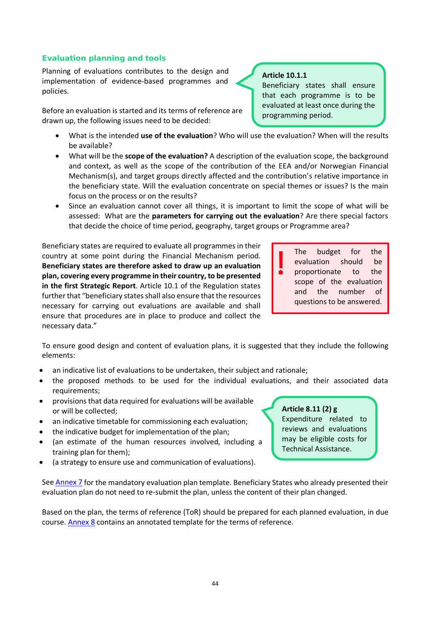### *Evaluation planning and tools*

Planning of evaluations contributes to the design and implementation of evidence-based programmes and policies.

Before an evaluation is started and its terms of reference are drawn up, the following issues need to be decided:

- What is the intended **use of the evaluation**? Who will use the evaluation? When will the results be available?
- What will be the **scope of the evaluation?** A description of the evaluation scope, the background and context, as well as the scope of the contribution of the EEA and/or Norwegian Financial Mechanism(s), and target groups directly affected and the contribution's relative importance in the beneficiary state. Will the evaluation concentrate on special themes or issues? Is the main focus on the process or on the results?
- Since an evaluation cannot cover all things, it is important to limit the scope of what will be assessed: What are the **parameters for carrying out the evaluation**? Are there special factors that decide the choice of time period, geography, target groups or Programme area?

Beneficiary states are required to evaluate all programmes in their country at some point during the Financial Mechanism period. **Beneficiary states are therefore asked to draw up an evaluation plan, covering every programme in their country, to be presented in the first Strategic Report**. Article 10.1 of the Regulation states further that "beneficiary states shall also ensure that the resources necessary for carrying out evaluations are available and shall ensure that procedures are in place to produce and collect the necessary data."

and the number of questions to be answered.

The budget for the evaluation should be proportionate to the scope of the evaluation

To ensure good design and content of evaluation plans, it is suggested that they include the following elements:

- an indicative list of evaluations to be undertaken, their subject and rationale;
- the proposed methods to be used for the individual evaluations, and their associated data requirements;
- provisions that data required for evaluations will be available or will be collected;
- an indicative timetable for commissioning each evaluation;
- the indicative budget for implementation of the plan;
- (an estimate of the human resources involved, including a training plan for them);
- (a strategy to ensure use and communication of evaluations).

See [Annex 7](https://efta.sharepoint.com/sites/FMOResultsandEvaluationUnit/RE%20Guides%20%20Strategies/Results%20Guideline%20REVISED%202021_track%20changes.docx#_7._Mandatory_evaluation) for the mandatory evaluation plan template. Beneficiary States who already presented their evaluation plan do not need to re-submit the plan, unless the content of their plan changed.

Based on the plan, the terms of reference (ToR) should be prepared for each planned evaluation, in due course. [Annex 8](https://efta.sharepoint.com/sites/FMOResultsandEvaluationUnit/RE%20Guides%20%20Strategies/Results%20Guideline%20REVISED%202021_track%20changes.docx#_8._Suggested_template) contains an annotated template for the terms of reference.

### **Article 8.11 (2) g**

Expenditure related to reviews and evaluations may be eligible costs for Technical Assistance.



### **Article 10.1.1**

Beneficiary states shall ensure that each programme is to be evaluated at least once during the programming period.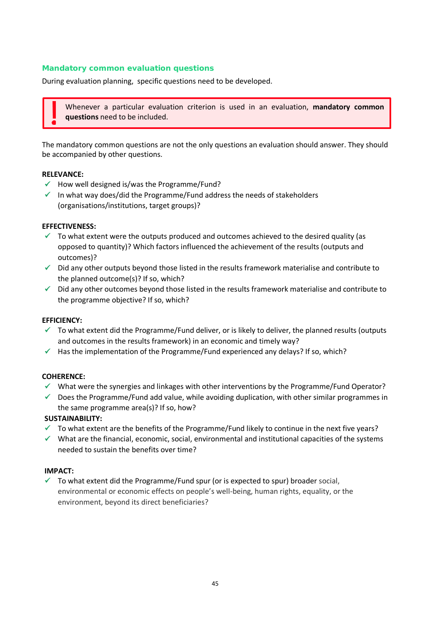### *Mandatory common evaluation questions*

During evaluation planning, specific questions need to be developed.

Whenever a particular evaluation criterion is used in an evaluation, **mandatory common questions** need to be included.

The mandatory common questions are not the only questions an evaluation should answer. They should be accompanied by other questions.

### **RELEVANCE:**

- $\checkmark$  How well designed is/was the Programme/Fund?
- $\checkmark$  In what way does/did the Programme/Fund address the needs of stakeholders (organisations/institutions, target groups)?

### **EFFECTIVENESS:**

- $\checkmark$  To what extent were the outputs produced and outcomes achieved to the desired quality (as opposed to quantity)? Which factors influenced the achievement of the results (outputs and outcomes)?
- $\checkmark$  Did any other outputs beyond those listed in the results framework materialise and contribute to the planned outcome(s)? If so, which?
- $\checkmark$  Did any other outcomes beyond those listed in the results framework materialise and contribute to the programme objective? If so, which?

### **EFFICIENCY:**

- $\checkmark$  To what extent did the Programme/Fund deliver, or is likely to deliver, the planned results (outputs and outcomes in the results framework) in an economic and timely way?
- $\checkmark$  Has the implementation of the Programme/Fund experienced any delays? If so, which?

#### **COHERENCE:**

- $\checkmark$  What were the synergies and linkages with other interventions by the Programme/Fund Operator?
- $\checkmark$  Does the Programme/Fund add value, while avoiding duplication, with other similar programmes in the same programme area(s)? If so, how?

### **SUSTAINABILITY:**

- $\checkmark$  To what extent are the benefits of the Programme/Fund likely to continue in the next five years?
- $\checkmark$  What are the financial, economic, social, environmental and institutional capacities of the systems needed to sustain the benefits over time?

#### **IMPACT:**

 $\checkmark$  To what extent did the Programme/Fund spur (or is expected to spur) broader social, environmental or economic effects on people's well-being, human rights, equality, or the environment, beyond its direct beneficiaries?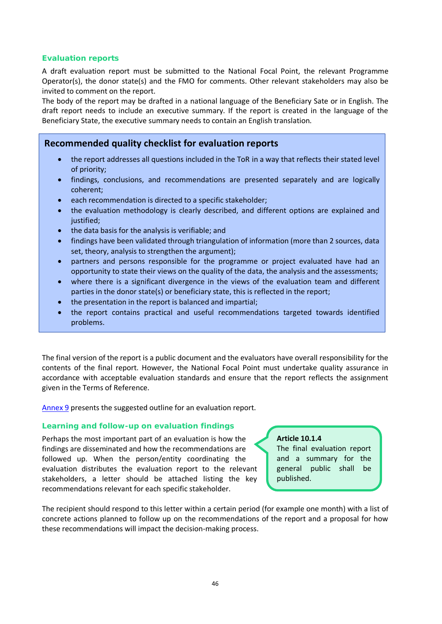### *Evaluation reports*

A draft evaluation report must be submitted to the National Focal Point, the relevant Programme Operator(s), the donor state(s) and the FMO for comments. Other relevant stakeholders may also be invited to comment on the report.

The body of the report may be drafted in a national language of the Beneficiary Sate or in English. The draft report needs to include an executive summary. If the report is created in the language of the Beneficiary State, the executive summary needs to contain an English translation.

### **Recommended quality checklist for evaluation reports**

- the report addresses all questions included in the ToR in a way that reflects their stated level of priority;
- findings, conclusions, and recommendations are presented separately and are logically coherent;
- each recommendation is directed to a specific stakeholder;
- the evaluation methodology is clearly described, and different options are explained and iustified:
- the data basis for the analysis is verifiable; and
- findings have been validated through triangulation of information (more than 2 sources, data set, theory, analysis to strengthen the argument);
- partners and persons responsible for the programme or project evaluated have had an opportunity to state their views on the quality of the data, the analysis and the assessments;
- where there is a significant divergence in the views of the evaluation team and different parties in the donor state(s) or beneficiary state, this is reflected in the report;
- the presentation in the report is balanced and impartial;
- the report contains practical and useful recommendations targeted towards identified problems.

The final version of the report is a public document and the evaluators have overall responsibility for the contents of the final report. However, the National Focal Point must undertake quality assurance in accordance with acceptable evaluation standards and ensure that the report reflects the assignment given in the Terms of Reference.

[Annex 9](https://efta.sharepoint.com/sites/FMOResultsandEvaluationUnit/RE%20Guides%20%20Strategies/Results%20Guideline%20REVISED%202021_track%20changes.docx#_9._Suggested_outline) presents the suggested outline for an evaluation report.

### *Learning and follow-up on evaluation findings*

Perhaps the most important part of an evaluation is how the findings are disseminated and how the recommendations are followed up. When the person/entity coordinating the evaluation distributes the evaluation report to the relevant stakeholders, a letter should be attached listing the key recommendations relevant for each specific stakeholder.

### **Article 10.1.4**

The final evaluation report and a summary for the general public shall be published.

The recipient should respond to this letter within a certain period (for example one month) with a list of concrete actions planned to follow up on the recommendations of the report and a proposal for how these recommendations will impact the decision-making process.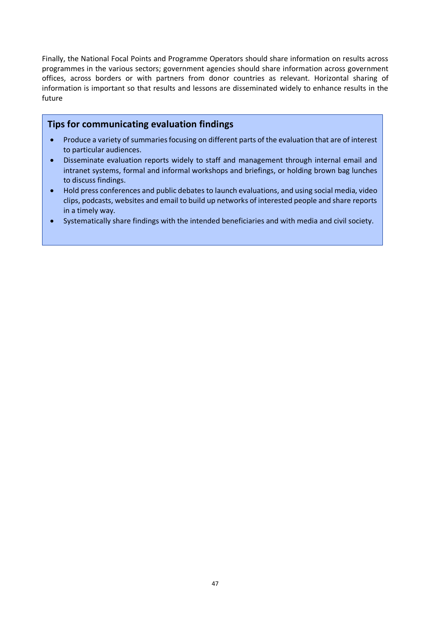Finally, the National Focal Points and Programme Operators should share information on results across programmes in the various sectors; government agencies should share information across government offices, across borders or with partners from donor countries as relevant. Horizontal sharing of information is important so that results and lessons are disseminated widely to enhance results in the future

### **Tips for communicating evaluation findings**

- Produce a variety of summaries focusing on different parts of the evaluation that are of interest to particular audiences.
- Disseminate evaluation reports widely to staff and management through internal email and intranet systems, formal and informal workshops and briefings, or holding brown bag lunches to discuss findings.
- Hold press conferences and public debates to launch evaluations, and using social media, video clips, podcasts, websites and email to build up networks of interested people and share reports in a timely way.
- Systematically share findings with the intended beneficiaries and with media and civil society.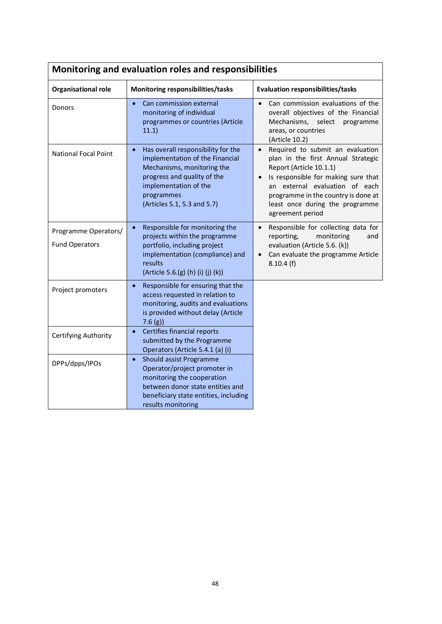| Monitoring and evaluation roles and responsibilities |                                                                                                                                                                                                              |                                                                                                                                                                                                                                                                                       |  |  |  |  |
|------------------------------------------------------|--------------------------------------------------------------------------------------------------------------------------------------------------------------------------------------------------------------|---------------------------------------------------------------------------------------------------------------------------------------------------------------------------------------------------------------------------------------------------------------------------------------|--|--|--|--|
| Organisational role                                  | Monitoring responsibilities/tasks                                                                                                                                                                            | <b>Evaluation responsibilities/tasks</b>                                                                                                                                                                                                                                              |  |  |  |  |
| Donors                                               | Can commission external<br>$\bullet$<br>monitoring of individual<br>programmes or countries (Article<br>11.1)                                                                                                | Can commission evaluations of the<br>$\bullet$<br>overall objectives of the Financial<br>Mechanisms,<br>select<br>programme<br>areas, or countries<br>(Article 10.2)                                                                                                                  |  |  |  |  |
| <b>National Focal Point</b>                          | Has overall responsibility for the<br>implementation of the Financial<br>Mechanisms, monitoring the<br>progress and quality of the<br>implementation of the<br>programmes<br>(Articles 5.1, 5.3 and 5.7)     | Required to submit an evaluation<br>$\bullet$<br>plan in the first Annual Strategic<br>Report (Article 10.1.1)<br>Is responsible for making sure that<br>an external evaluation of each<br>programme in the country is done at<br>least once during the programme<br>agreement period |  |  |  |  |
| Programme Operators/<br><b>Fund Operators</b>        | Responsible for monitoring the<br>projects within the programme<br>portfolio, including project<br>implementation (compliance) and<br>results<br>(Article 5.6.(g) (h) (i) (j) (k))                           | Responsible for collecting data for<br>$\bullet$<br>reporting,<br>monitoring<br>and<br>evaluation (Article 5.6. (k))<br>Can evaluate the programme Article<br>8.10.4(f)                                                                                                               |  |  |  |  |
| Project promoters                                    | Responsible for ensuring that the<br>$\bullet$<br>access requested in relation to<br>monitoring, audits and evaluations<br>is provided without delay (Article<br>7.6(g)                                      |                                                                                                                                                                                                                                                                                       |  |  |  |  |
| Certifying Authority                                 | Certifies financial reports<br>$\bullet$<br>submitted by the Programme<br>Operators (Article 5.4.1 (a) (i)                                                                                                   |                                                                                                                                                                                                                                                                                       |  |  |  |  |
| DPPs/dpps/IPOs                                       | <b>Should assist Programme</b><br>$\bullet$<br>Operator/project promoter in<br>monitoring the cooperation<br>between donor state entities and<br>beneficiary state entities, including<br>results monitoring |                                                                                                                                                                                                                                                                                       |  |  |  |  |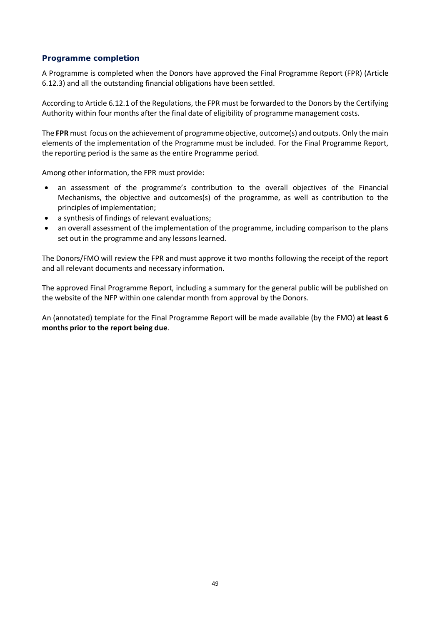### *Programme completion*

A Programme is completed when the Donors have approved the Final Programme Report (FPR) (Article 6.12.3) and all the outstanding financial obligations have been settled.

According to Article 6.12.1 of the Regulations, the FPR must be forwarded to the Donors by the Certifying Authority within four months after the final date of eligibility of programme management costs.

The **FPR** must focus on the achievement of programme objective, outcome(s) and outputs. Only the main elements of the implementation of the Programme must be included. For the Final Programme Report, the reporting period is the same as the entire Programme period.

Among other information, the FPR must provide:

- an assessment of the programme's contribution to the overall objectives of the Financial Mechanisms, the objective and outcomes(s) of the programme, as well as contribution to the principles of implementation;
- a synthesis of findings of relevant evaluations;
- an overall assessment of the implementation of the programme, including comparison to the plans set out in the programme and any lessons learned.

The Donors/FMO will review the FPR and must approve it two months following the receipt of the report and all relevant documents and necessary information.

The approved Final Programme Report, including a summary for the general public will be published on the website of the NFP within one calendar month from approval by the Donors.

An (annotated) template for the Final Programme Report will be made available (by the FMO) **at least 6 months prior to the report being due**.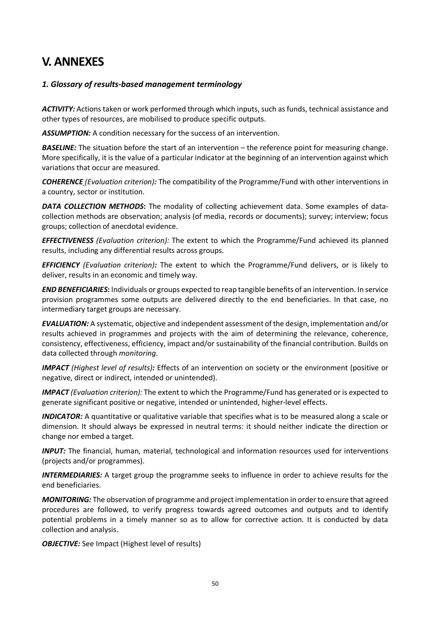# **V. ANNEXES**

### *1. Glossary of results-based management terminology*

*ACTIVITY:* Actions taken or work performed through which inputs, such as funds, technical assistance and other types of resources, are mobilised to produce specific outputs.

ASSUMPTION: A condition necessary for the success of an intervention.

**BASELINE:** The situation before the start of an intervention – the reference point for measuring change. More specifically, it is the value of a particular indicator at the beginning of an intervention against which variations that occur are measured.

*COHERENCE (Evaluation criterion):* The compatibility of the Programme/Fund with other interventions in a country, sector or institution.

**DATA COLLECTION METHODS:** The modality of collecting achievement data. Some examples of datacollection methods are observation; analysis (of media, records or documents); survey; interview; focus groups; collection of anecdotal evidence.

*EFFECTIVENESS (Evaluation criterion):* The extent to which the Programme/Fund achieved its planned results, including any differential results across groups.

*EFFICIENCY (Evaluation criterion):* The extent to which the Programme/Fund delivers, or is likely to deliver, results in an economic and timely way.

*END BENEFICIARIES***:** Individuals or groups expected to reap tangible benefits of an intervention. In service provision programmes some outputs are delivered directly to the end beneficiaries. In that case, no intermediary target groups are necessary.

*EVALUATION:* A systematic, objective and independent assessment of the design, implementation and/or results achieved in programmes and projects with the aim of determining the relevance, coherence, consistency, effectiveness, efficiency, impact and/or sustainability of the financial contribution. Builds on data collected through *monitoring*.

*IMPACT (Highest level of results):* Effects of an intervention on society or the environment (positive or negative, direct or indirect, intended or unintended).

*IMPACT (Evaluation criterion):* The extent to which the Programme/Fund has generated or is expected to generate significant positive or negative, intended or unintended, higher-level effects.

*INDICATOR:* A quantitative or qualitative variable that specifies what is to be measured along a scale or dimension. It should always be expressed in neutral terms: it should neither indicate the direction or change nor embed a target.

*INPUT:* The financial, human, material, technological and information resources used for interventions (projects and/or programmes).

*INTERMEDIARIES:* A target group the programme seeks to influence in order to achieve results for the end beneficiaries.

*MONITORING:* The observation of programme and project implementation in order to ensure that agreed procedures are followed, to verify progress towards agreed outcomes and outputs and to identify potential problems in a timely manner so as to allow for corrective action. It is conducted by data collection and analysis.

**OBJECTIVE:** See Impact (Highest level of results)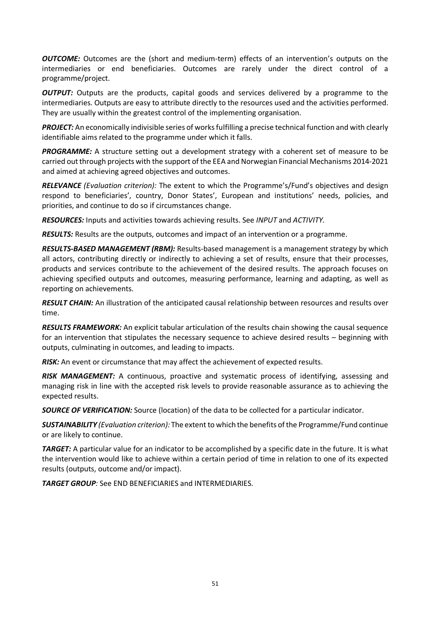*OUTCOME:* Outcomes are the (short and medium-term) effects of an intervention's outputs on the intermediaries or end beneficiaries. Outcomes are rarely under the direct control of a programme/project.

**OUTPUT:** Outputs are the products, capital goods and services delivered by a programme to the intermediaries. Outputs are easy to attribute directly to the resources used and the activities performed. They are usually within the greatest control of the implementing organisation.

*PROJECT:* An economically indivisible series of works fulfilling a precise technical function and with clearly identifiable aims related to the programme under which it falls.

**PROGRAMME:** A structure setting out a development strategy with a coherent set of measure to be carried out through projects with the support of the EEA and Norwegian Financial Mechanisms 2014-2021 and aimed at achieving agreed objectives and outcomes.

*RELEVANCE (Evaluation criterion):* The extent to which the Programme's/Fund's objectives and design respond to beneficiaries', country, Donor States', European and institutions' needs, policies, and priorities, and continue to do so if circumstances change.

*RESOURCES:* Inputs and activities towards achieving results. See *INPUT* and *ACTIVITY.*

*RESULTS:* Results are the outputs, outcomes and impact of an intervention or a programme.

*RESULTS-BASED MANAGEMENT (RBM):* Results-based management is a management strategy by which all actors, contributing directly or indirectly to achieving a set of results, ensure that their processes, products and services contribute to the achievement of the desired results. The approach focuses on achieving specified outputs and outcomes, measuring performance, learning and adapting, as well as reporting on achievements.

*RESULT CHAIN:* An illustration of the anticipated causal relationship between resources and results over time.

*RESULTS FRAMEWORK:* An explicit tabular articulation of the results chain showing the causal sequence for an intervention that stipulates the necessary sequence to achieve desired results – beginning with outputs, culminating in outcomes, and leading to impacts.

*RISK:* An event or circumstance that may affect the achievement of expected results.

*RISK MANAGEMENT:* A continuous, proactive and systematic process of identifying, assessing and managing risk in line with the accepted risk levels to provide reasonable assurance as to achieving the expected results.

*SOURCE OF VERIFICATION:* Source (location) of the data to be collected for a particular indicator.

*SUSTAINABILITY (Evaluation criterion):* The extent to which the benefits of the Programme/Fund continue or are likely to continue.

*TARGET:* A particular value for an indicator to be accomplished by a specific date in the future. It is what the intervention would like to achieve within a certain period of time in relation to one of its expected results (outputs, outcome and/or impact).

*TARGET GROUP:* See END BENEFICIARIES and INTERMEDIARIES.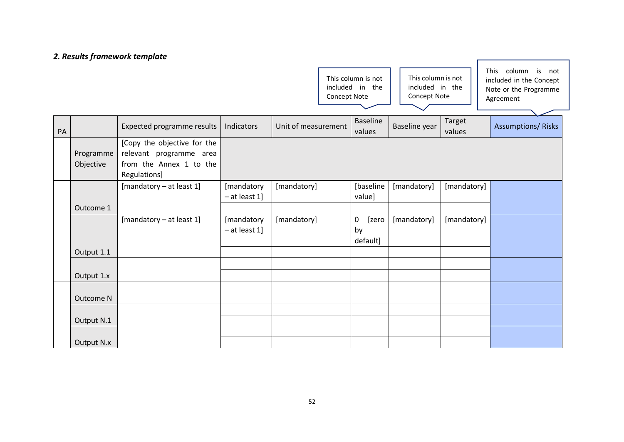### *2. Results framework template*

This column is not included in the Concept Note

This column is not included in the Concept Note

This column is not included in the Concept Note or the Programme Agreement

ر ا

| PA |                        | Expected programme results                                                                        | Indicators                    | Unit of measurement | <b>Baseline</b><br>values              | Baseline year | Target<br>values | <b>Assumptions/ Risks</b> |
|----|------------------------|---------------------------------------------------------------------------------------------------|-------------------------------|---------------------|----------------------------------------|---------------|------------------|---------------------------|
|    | Programme<br>Objective | [Copy the objective for the<br>relevant programme area<br>from the Annex 1 to the<br>Regulations] |                               |                     |                                        |               |                  |                           |
|    | Outcome 1              | [mandatory - at least 1]                                                                          | [mandatory<br>$-$ at least 1] | [mandatory]         | [baseline<br>value]                    | [mandatory]   | [mandatory]      |                           |
|    | Output 1.1             | [mandatory - at least 1]                                                                          | [mandatory<br>$-$ at least 1] | [mandatory]         | $\mathbf 0$<br>[zero<br>by<br>default] | [mandatory]   | [mandatory]      |                           |
|    | Output 1.x             |                                                                                                   |                               |                     |                                        |               |                  |                           |
|    | Outcome N              |                                                                                                   |                               |                     |                                        |               |                  |                           |
|    | Output N.1             |                                                                                                   |                               |                     |                                        |               |                  |                           |
|    | Output N.x             |                                                                                                   |                               |                     |                                        |               |                  |                           |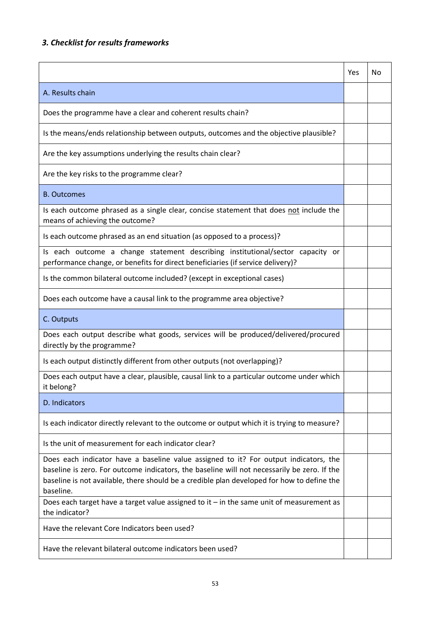## *3. Checklist for results frameworks*

|                                                                                                                                                                                                                                                                                                | Yes | No |
|------------------------------------------------------------------------------------------------------------------------------------------------------------------------------------------------------------------------------------------------------------------------------------------------|-----|----|
| A. Results chain                                                                                                                                                                                                                                                                               |     |    |
| Does the programme have a clear and coherent results chain?                                                                                                                                                                                                                                    |     |    |
| Is the means/ends relationship between outputs, outcomes and the objective plausible?                                                                                                                                                                                                          |     |    |
| Are the key assumptions underlying the results chain clear?                                                                                                                                                                                                                                    |     |    |
| Are the key risks to the programme clear?                                                                                                                                                                                                                                                      |     |    |
| <b>B.</b> Outcomes                                                                                                                                                                                                                                                                             |     |    |
| Is each outcome phrased as a single clear, concise statement that does not include the<br>means of achieving the outcome?                                                                                                                                                                      |     |    |
| Is each outcome phrased as an end situation (as opposed to a process)?                                                                                                                                                                                                                         |     |    |
| Is each outcome a change statement describing institutional/sector capacity or<br>performance change, or benefits for direct beneficiaries (if service delivery)?                                                                                                                              |     |    |
| Is the common bilateral outcome included? (except in exceptional cases)                                                                                                                                                                                                                        |     |    |
| Does each outcome have a causal link to the programme area objective?                                                                                                                                                                                                                          |     |    |
| C. Outputs                                                                                                                                                                                                                                                                                     |     |    |
| Does each output describe what goods, services will be produced/delivered/procured<br>directly by the programme?                                                                                                                                                                               |     |    |
| Is each output distinctly different from other outputs (not overlapping)?                                                                                                                                                                                                                      |     |    |
| Does each output have a clear, plausible, causal link to a particular outcome under which<br>it belong?                                                                                                                                                                                        |     |    |
| D. Indicators                                                                                                                                                                                                                                                                                  |     |    |
| Is each indicator directly relevant to the outcome or output which it is trying to measure?                                                                                                                                                                                                    |     |    |
| Is the unit of measurement for each indicator clear?                                                                                                                                                                                                                                           |     |    |
| Does each indicator have a baseline value assigned to it? For output indicators, the<br>baseline is zero. For outcome indicators, the baseline will not necessarily be zero. If the<br>baseline is not available, there should be a credible plan developed for how to define the<br>baseline. |     |    |
| Does each target have a target value assigned to it $-$ in the same unit of measurement as<br>the indicator?                                                                                                                                                                                   |     |    |
| Have the relevant Core Indicators been used?                                                                                                                                                                                                                                                   |     |    |
| Have the relevant bilateral outcome indicators been used?                                                                                                                                                                                                                                      |     |    |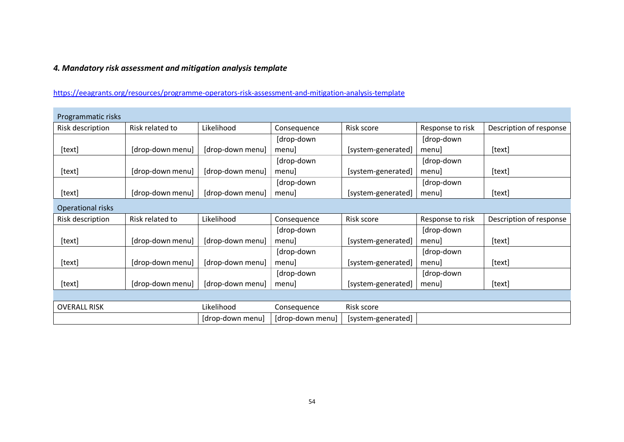### *4. Mandatory risk assessment and mitigation analysis template*

[https://eeagrants.org/resources/programme-operators-risk-assessment-and-mitigation-analysis-template](https://eur02.safelinks.protection.outlook.com/?url=https%3A%2F%2Feeagrants.org%2Fresources%2Fprogramme-operators-risk-assessment-and-mitigation-analysis-template&data=04%7C01%7CJonas.MATHISEN%40efta.int%7C6720491458bf46e3df9d08d88d51fac6%7Cfdf06eeb43704758bad326541c642925%7C0%7C0%7C637414730519825993%7CUnknown%7CTWFpbGZsb3d8eyJWIjoiMC4wLjAwMDAiLCJQIjoiV2luMzIiLCJBTiI6Ik1haWwiLCJXVCI6Mn0%3D%7C1000&sdata=86lDf95ajjkbEs%2BO5m7nXgqIxj47Gv9sw%2BKYsF4YgEc%3D&reserved=0)

| Programmatic risks  |                  |                  |                  |                    |                  |                         |
|---------------------|------------------|------------------|------------------|--------------------|------------------|-------------------------|
| Risk description    | Risk related to  | Likelihood       | Consequence      | Risk score         | Response to risk | Description of response |
|                     |                  |                  | [drop-down       |                    | [drop-down       |                         |
| [text]              | [drop-down menu] | [drop-down menu] | menu]            | [system-generated] | menul            | [text]                  |
|                     |                  |                  | [drop-down       |                    | [drop-down       |                         |
| [text]              | [drop-down menu] | [drop-down menu] | menu]            | [system-generated] | menul            | [text]                  |
|                     |                  |                  | [drop-down       |                    | [drop-down       |                         |
| [text]              | [drop-down menu] | [drop-down menu] | menu]            | [system-generated] | menul            | [text]                  |
| Operational risks   |                  |                  |                  |                    |                  |                         |
| Risk description    | Risk related to  | Likelihood       | Consequence      | Risk score         | Response to risk | Description of response |
|                     |                  |                  | [drop-down       |                    | [drop-down       |                         |
| [text]              | [drop-down menu] | [drop-down menu] | menu]            | [system-generated] | menul            | [text]                  |
|                     |                  |                  | [drop-down       |                    | [drop-down       |                         |
| [text]              | [drop-down menu] | [drop-down menu] | menu]            | [system-generated] | menul            | [text]                  |
|                     |                  |                  | [drop-down       |                    | [drop-down       |                         |
| [text]              | [drop-down menu] | [drop-down menu] | menul            | [system-generated] | menul            | [text]                  |
|                     |                  |                  |                  |                    |                  |                         |
| <b>OVERALL RISK</b> |                  | Likelihood       | Consequence      | Risk score         |                  |                         |
|                     |                  | [drop-down menu] | [drop-down menu] | [system-generated] |                  |                         |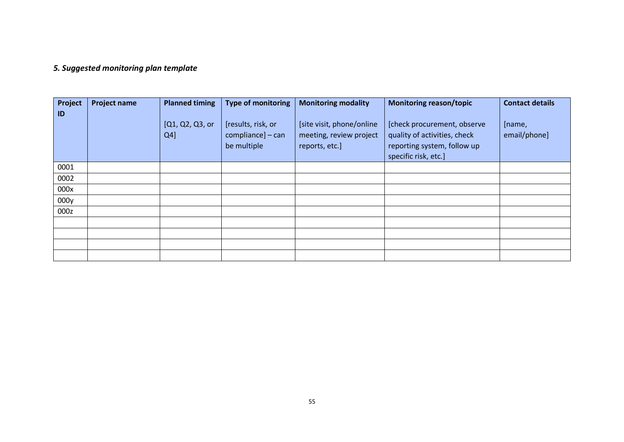### *5. Suggested monitoring plan template*

| Project<br>ID | <b>Project name</b> | <b>Planned timing</b>     | <b>Type of monitoring</b>                              | <b>Monitoring modality</b>                                             | <b>Monitoring reason/topic</b>                                                                                     | <b>Contact details</b> |
|---------------|---------------------|---------------------------|--------------------------------------------------------|------------------------------------------------------------------------|--------------------------------------------------------------------------------------------------------------------|------------------------|
|               |                     | [Q1, Q2, Q3, or<br>$Q4$ ] | [results, risk, or<br>compliance] - can<br>be multiple | [site visit, phone/online<br>meeting, review project<br>reports, etc.] | [check procurement, observe<br>quality of activities, check<br>reporting system, follow up<br>specific risk, etc.] | [name,<br>email/phone] |
| 0001          |                     |                           |                                                        |                                                                        |                                                                                                                    |                        |
| 0002          |                     |                           |                                                        |                                                                        |                                                                                                                    |                        |
| 000x          |                     |                           |                                                        |                                                                        |                                                                                                                    |                        |
| 000y          |                     |                           |                                                        |                                                                        |                                                                                                                    |                        |
| 000z          |                     |                           |                                                        |                                                                        |                                                                                                                    |                        |
|               |                     |                           |                                                        |                                                                        |                                                                                                                    |                        |
|               |                     |                           |                                                        |                                                                        |                                                                                                                    |                        |
|               |                     |                           |                                                        |                                                                        |                                                                                                                    |                        |
|               |                     |                           |                                                        |                                                                        |                                                                                                                    |                        |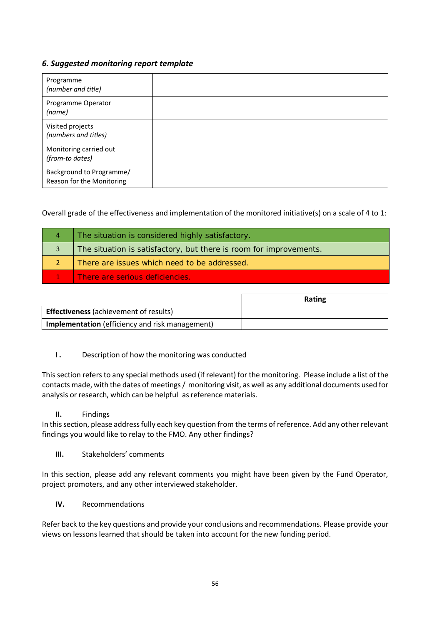### *6. Suggested monitoring report template*

| Programme<br>(number and title)                       |  |
|-------------------------------------------------------|--|
| Programme Operator<br>(name)                          |  |
| Visited projects<br>(numbers and titles)              |  |
| Monitoring carried out<br>(from-to dates)             |  |
| Background to Programme/<br>Reason for the Monitoring |  |

Overall grade of the effectiveness and implementation of the monitored initiative(s) on a scale of 4 to 1:

| 4 | The situation is considered highly satisfactory.                   |
|---|--------------------------------------------------------------------|
|   | The situation is satisfactory, but there is room for improvements. |
|   | There are issues which need to be addressed.                       |
|   | There are serious deficiencies.                                    |

|                                                        | Rating |
|--------------------------------------------------------|--------|
| <b>Effectiveness</b> (achievement of results)          |        |
| <b>Implementation</b> (efficiency and risk management) |        |

### **I.** Description of how the monitoring was conducted

This section refers to any special methods used (if relevant) for the monitoring. Please include a list of the contacts made, with the dates of meetings / monitoring visit, as well as any additional documents used for analysis or research, which can be helpful as reference materials.

### **II.** Findings

In this section, please address fully each key question from the terms of reference. Add any other relevant findings you would like to relay to the FMO. Any other findings?

### **III.** Stakeholders' comments

In this section, please add any relevant comments you might have been given by the Fund Operator, project promoters, and any other interviewed stakeholder.

### **IV.** Recommendations

Refer back to the key questions and provide your conclusions and recommendations. Please provide your views on lessons learned that should be taken into account for the new funding period.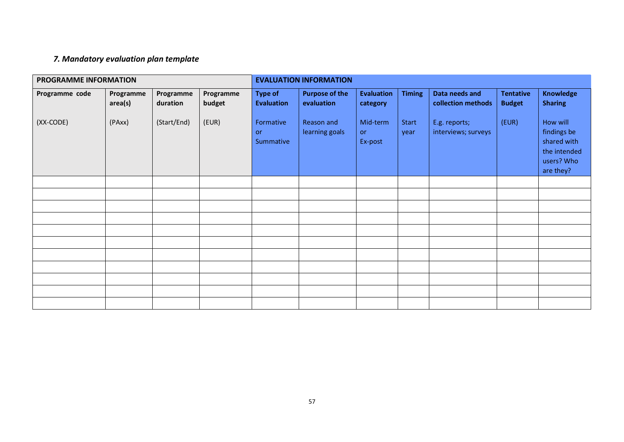### *7. Mandatory evaluation plan template*

| PROGRAMME INFORMATION |                      |                       |                     | <b>EVALUATION INFORMATION</b>       |                                     |                                  |                      |                                      |                                   |                                                                                   |
|-----------------------|----------------------|-----------------------|---------------------|-------------------------------------|-------------------------------------|----------------------------------|----------------------|--------------------------------------|-----------------------------------|-----------------------------------------------------------------------------------|
| Programme code        | Programme<br>area(s) | Programme<br>duration | Programme<br>budget | <b>Type of</b><br><b>Evaluation</b> | <b>Purpose of the</b><br>evaluation | <b>Evaluation</b><br>category    | <b>Timing</b>        | Data needs and<br>collection methods | <b>Tentative</b><br><b>Budget</b> | <b>Knowledge</b><br><b>Sharing</b>                                                |
| (XX-CODE)             | (PAxx)               | (Start/End)           | (EUR)               | Formative<br><b>or</b><br>Summative | Reason and<br>learning goals        | Mid-term<br><b>or</b><br>Ex-post | <b>Start</b><br>year | E.g. reports;<br>interviews; surveys | (EUR)                             | How will<br>findings be<br>shared with<br>the intended<br>users? Who<br>are they? |
|                       |                      |                       |                     |                                     |                                     |                                  |                      |                                      |                                   |                                                                                   |
|                       |                      |                       |                     |                                     |                                     |                                  |                      |                                      |                                   |                                                                                   |
|                       |                      |                       |                     |                                     |                                     |                                  |                      |                                      |                                   |                                                                                   |
|                       |                      |                       |                     |                                     |                                     |                                  |                      |                                      |                                   |                                                                                   |
|                       |                      |                       |                     |                                     |                                     |                                  |                      |                                      |                                   |                                                                                   |
|                       |                      |                       |                     |                                     |                                     |                                  |                      |                                      |                                   |                                                                                   |
|                       |                      |                       |                     |                                     |                                     |                                  |                      |                                      |                                   |                                                                                   |
|                       |                      |                       |                     |                                     |                                     |                                  |                      |                                      |                                   |                                                                                   |
|                       |                      |                       |                     |                                     |                                     |                                  |                      |                                      |                                   |                                                                                   |
|                       |                      |                       |                     |                                     |                                     |                                  |                      |                                      |                                   |                                                                                   |
|                       |                      |                       |                     |                                     |                                     |                                  |                      |                                      |                                   |                                                                                   |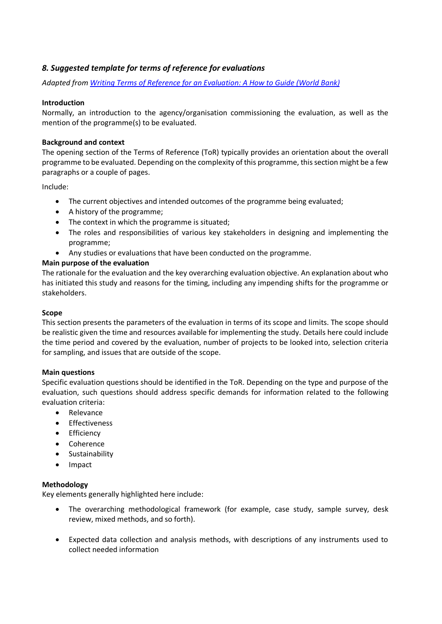### *8. Suggested template for terms of reference for evaluations*

*Adapted from [Writing Terms of Reference for an Evaluation: A How to Guide \(World Bank\)](https://ec.europa.eu/regional_policy/sources/docgener/evaluation/doc/05102016/prep_writing_tor.pdf)*

### **Introduction**

Normally, an introduction to the agency/organisation commissioning the evaluation, as well as the mention of the programme(s) to be evaluated.

### **Background and context**

The opening section of the Terms of Reference (ToR) typically provides an orientation about the overall programme to be evaluated. Depending on the complexity of this programme, this section might be a few paragraphs or a couple of pages.

Include:

- The current objectives and intended outcomes of the programme being evaluated;
- A history of the programme;
- The context in which the programme is situated;
- The roles and responsibilities of various key stakeholders in designing and implementing the programme;
- Any studies or evaluations that have been conducted on the programme.

### **Main purpose of the evaluation**

The rationale for the evaluation and the key overarching evaluation objective. An explanation about who has initiated this study and reasons for the timing, including any impending shifts for the programme or stakeholders.

### **Scope**

This section presents the parameters of the evaluation in terms of its scope and limits. The scope should be realistic given the time and resources available for implementing the study. Details here could include the time period and covered by the evaluation, number of projects to be looked into, selection criteria for sampling, and issues that are outside of the scope.

### **Main questions**

Specific evaluation questions should be identified in the ToR. Depending on the type and purpose of the evaluation, such questions should address specific demands for information related to the following evaluation criteria:

- Relevance
- Effectiveness
- Efficiency
- Coherence
- Sustainability
- Impact

### **Methodology**

Key elements generally highlighted here include:

- The overarching methodological framework (for example, case study, sample survey, desk review, mixed methods, and so forth).
- Expected data collection and analysis methods, with descriptions of any instruments used to collect needed information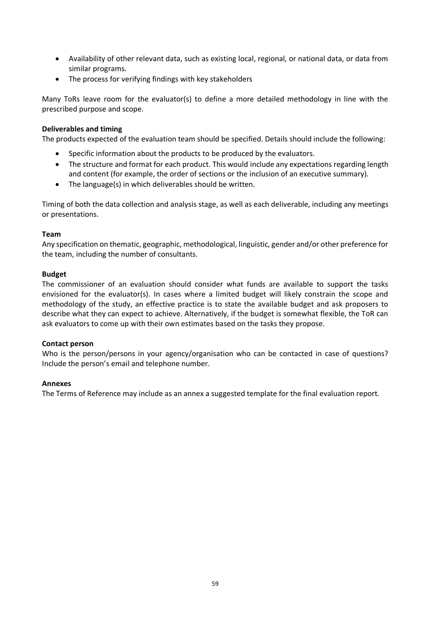- Availability of other relevant data, such as existing local, regional, or national data, or data from similar programs.
- The process for verifying findings with key stakeholders

Many ToRs leave room for the evaluator(s) to define a more detailed methodology in line with the prescribed purpose and scope.

### **Deliverables and timing**

The products expected of the evaluation team should be specified. Details should include the following:

- Specific information about the products to be produced by the evaluators.
- The structure and format for each product. This would include any expectations regarding length and content (for example, the order of sections or the inclusion of an executive summary).
- The language(s) in which deliverables should be written.

Timing of both the data collection and analysis stage, as well as each deliverable, including any meetings or presentations.

### **Team**

Any specification on thematic, geographic, methodological, linguistic, gender and/or other preference for the team, including the number of consultants.

### **Budget**

The commissioner of an evaluation should consider what funds are available to support the tasks envisioned for the evaluator(s). In cases where a limited budget will likely constrain the scope and methodology of the study, an effective practice is to state the available budget and ask proposers to describe what they can expect to achieve. Alternatively, if the budget is somewhat flexible, the ToR can ask evaluators to come up with their own estimates based on the tasks they propose.

### **Contact person**

Who is the person/persons in your agency/organisation who can be contacted in case of questions? Include the person's email and telephone number.

### **Annexes**

The Terms of Reference may include as an annex a suggested template for the final evaluation report.